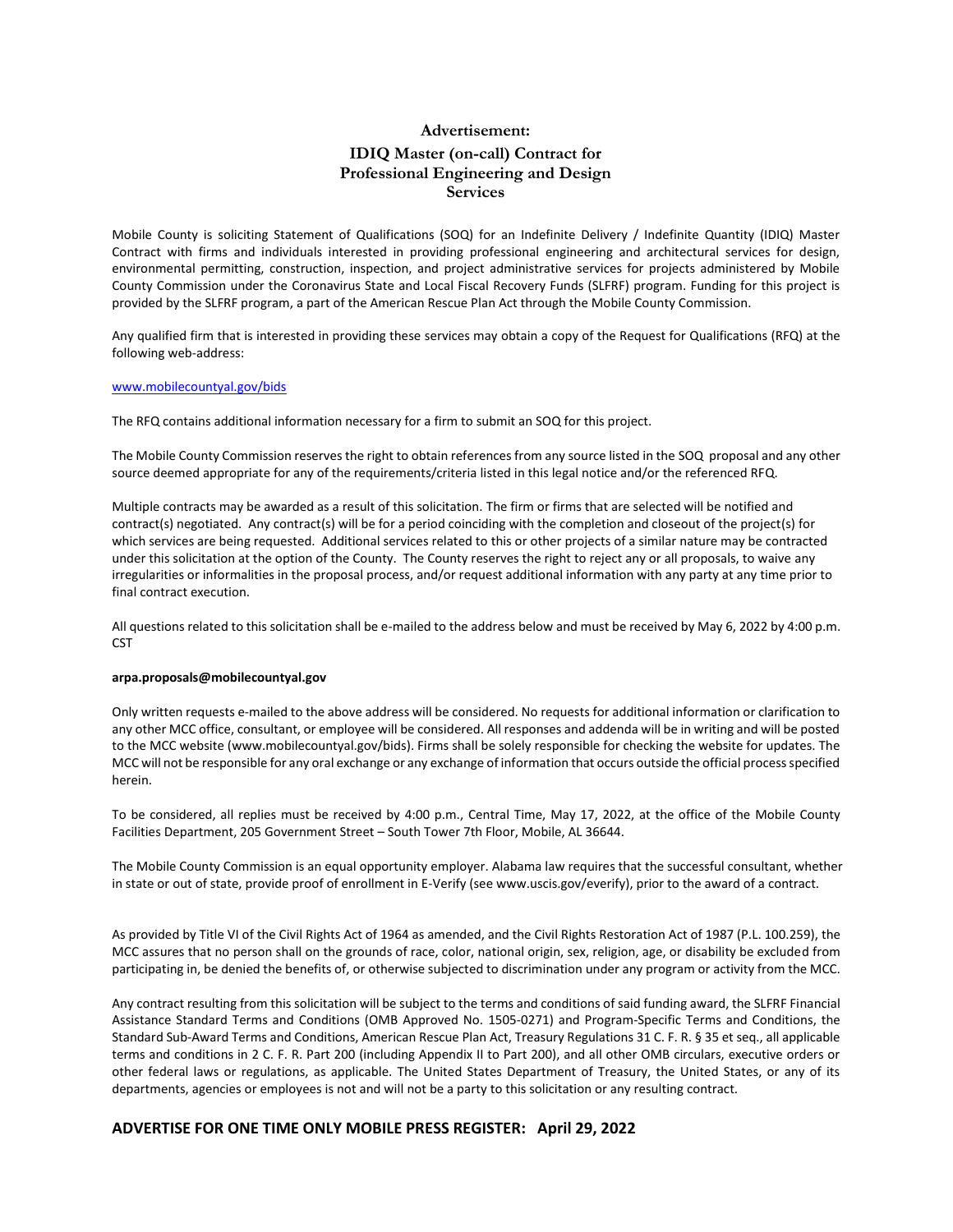# **Advertisement: IDIQ Master (on-call) Contract for Professional Engineering and Design Services**

Mobile County is soliciting Statement of Qualifications (SOQ) for an Indefinite Delivery / Indefinite Quantity (IDIQ) Master Contract with firms and individuals interested in providing professional engineering and architectural services for design, environmental permitting, construction, inspection, and project administrative services for projects administered by Mobile County Commission under the Coronavirus State and Local Fiscal Recovery Funds (SLFRF) program. Funding for this project is provided by the SLFRF program, a part of the American Rescue Plan Act through the Mobile County Commission.

Any qualified firm that is interested in providing these services may obtain a copy of the Request for Qualifications (RFQ) at the following web-address:

#### [www.mobilecountyal.gov/bids](http://www.mobilecountyal.gov/bids)

The RFQ contains additional information necessary for a firm to submit an SOQ for this project.

The Mobile County Commission reserves the right to obtain references from any source listed in the SOQ proposal and any other source deemed appropriate for any of the requirements/criteria listed in this legal notice and/or the referenced RFQ.

Multiple contracts may be awarded as a result of this solicitation. The firm or firms that are selected will be notified and contract(s) negotiated. Any contract(s) will be for a period coinciding with the completion and closeout of the project(s) for which services are being requested. Additional services related to this or other projects of a similar nature may be contracted under this solicitation at the option of the County. The County reserves the right to reject any or all proposals, to waive any irregularities or informalities in the proposal process, and/or request additional information with any party at any time prior to final contract execution.

All questions related to this solicitation shall be e-mailed to the address below and must be received by May 6, 2022 by 4:00 p.m. CST

#### **arpa.proposals@mobilecountyal.gov**

Only written requests e-mailed to the above address will be considered. No requests for additional information or clarification to any other MCC office, consultant, or employee will be considered. All responses and addenda will be in writing and will be posted to the MCC website (www.mobilecountyal.gov/bids). Firms shall be solely responsible for checking the website for updates. The MCC will not be responsible for any oral exchange or any exchange of information that occurs outside the official process specified herein.

To be considered, all replies must be received by 4:00 p.m., Central Time, May 17, 2022, at the office of the Mobile County Facilities Department, 205 Government Street – South Tower 7th Floor, Mobile, AL 36644.

The Mobile County Commission is an equal opportunity employer. Alabama law requires that the successful consultant, whether in state or out of state, provide proof of enrollment in E-Verify (see www.uscis.gov/everify), prior to the award of a contract.

As provided by Title VI of the Civil Rights Act of 1964 as amended, and the Civil Rights Restoration Act of 1987 (P.L. 100.259), the MCC assures that no person shall on the grounds of race, color, national origin, sex, religion, age, or disability be excluded from participating in, be denied the benefits of, or otherwise subjected to discrimination under any program or activity from the MCC.

Any contract resulting from this solicitation will be subject to the terms and conditions of said funding award, the SLFRF Financial Assistance Standard Terms and Conditions (OMB Approved No. 1505-0271) and Program-Specific Terms and Conditions, the Standard Sub-Award Terms and Conditions, American Rescue Plan Act, Treasury Regulations 31 C. F. R. § 35 et seq., all applicable terms and conditions in 2 C. F. R. Part 200 (including Appendix II to Part 200), and all other OMB circulars, executive orders or other federal laws or regulations, as applicable. The United States Department of Treasury, the United States, or any of its departments, agencies or employees is not and will not be a party to this solicitation or any resulting contract.

#### **ADVERTISE FOR ONE TIME ONLY MOBILE PRESS REGISTER: April 29, 2022**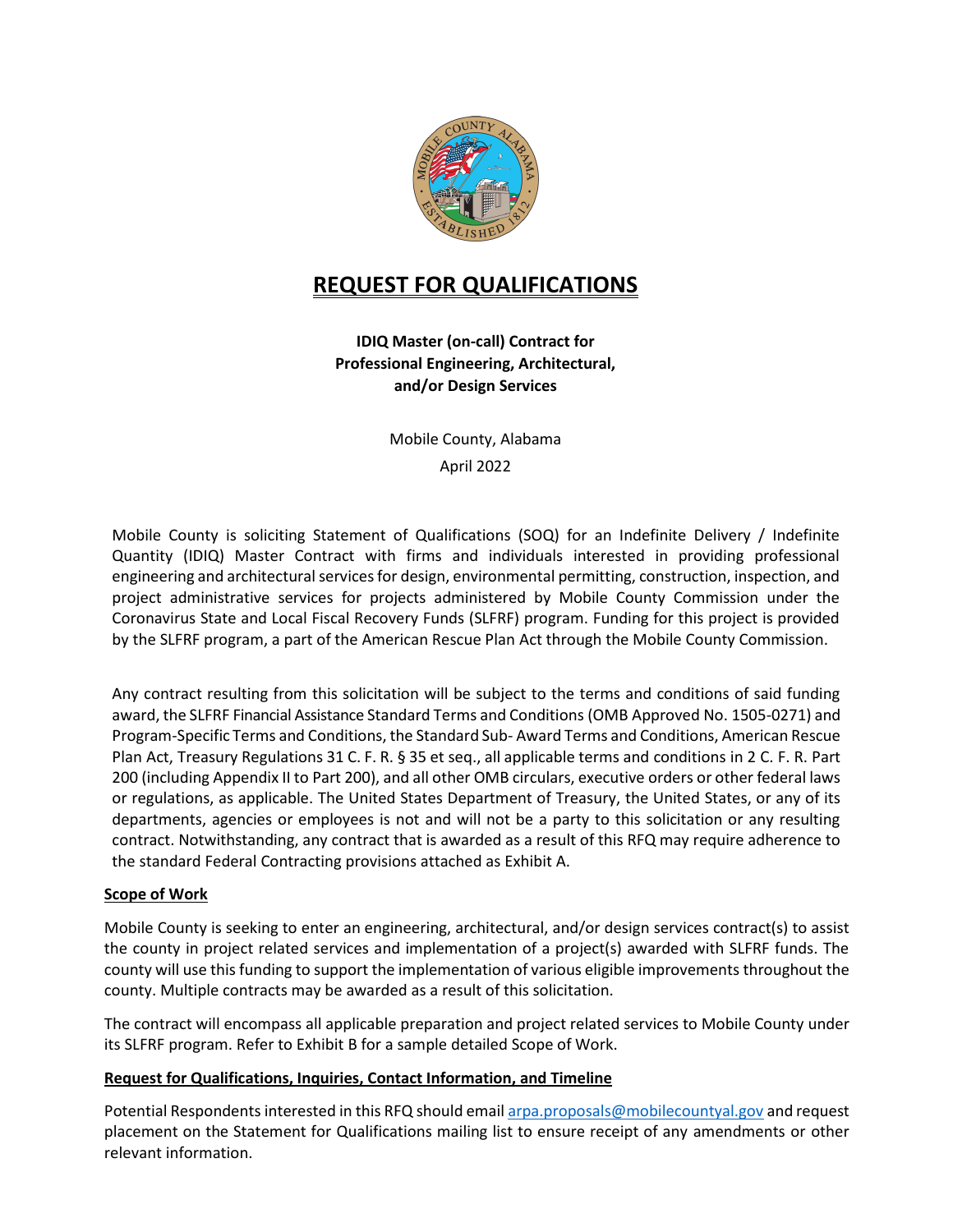

# **REQUEST FOR QUALIFICATIONS**

**IDIQ Master (on-call) Contract for Professional Engineering, Architectural, and/or Design Services**

> Mobile County, Alabama April 2022

Mobile County is soliciting Statement of Qualifications (SOQ) for an Indefinite Delivery / Indefinite Quantity (IDIQ) Master Contract with firms and individuals interested in providing professional engineering and architectural services for design, environmental permitting, construction, inspection, and project administrative services for projects administered by Mobile County Commission under the Coronavirus State and Local Fiscal Recovery Funds (SLFRF) program. Funding for this project is provided by the SLFRF program, a part of the American Rescue Plan Act through the Mobile County Commission.

Any contract resulting from this solicitation will be subject to the terms and conditions of said funding award, the SLFRF Financial Assistance Standard Terms and Conditions (OMB Approved No. 1505-0271) and Program-Specific Terms and Conditions, the Standard Sub- Award Terms and Conditions, American Rescue Plan Act, Treasury Regulations 31 C. F. R. § 35 et seq., all applicable terms and conditions in 2 C. F. R. Part 200 (including Appendix II to Part 200), and all other OMB circulars, executive orders or other federal laws or regulations, as applicable. The United States Department of Treasury, the United States, or any of its departments, agencies or employees is not and will not be a party to this solicitation or any resulting contract. Notwithstanding, any contract that is awarded as a result of this RFQ may require adherence to the standard Federal Contracting provisions attached as Exhibit A.

# **Scope of Work**

Mobile County is seeking to enter an engineering, architectural, and/or design services contract(s) to assist the county in project related services and implementation of a project(s) awarded with SLFRF funds. The county will use this funding to support the implementation of various eligible improvements throughout the county. Multiple contracts may be awarded as a result of this solicitation.

The contract will encompass all applicable preparation and project related services to Mobile County under its SLFRF program. Refer to Exhibit B for a sample detailed Scope of Work.

#### **Request for Qualifications, Inquiries, Contact Information, and Timeline**

Potential Respondents interested in this RFQ should email [arpa.proposals@mobilecountyal.gov](mailto:arpa.proposals@mobilecountyal.gov) and request placement on the Statement for Qualifications mailing list to ensure receipt of any amendments or other relevant information.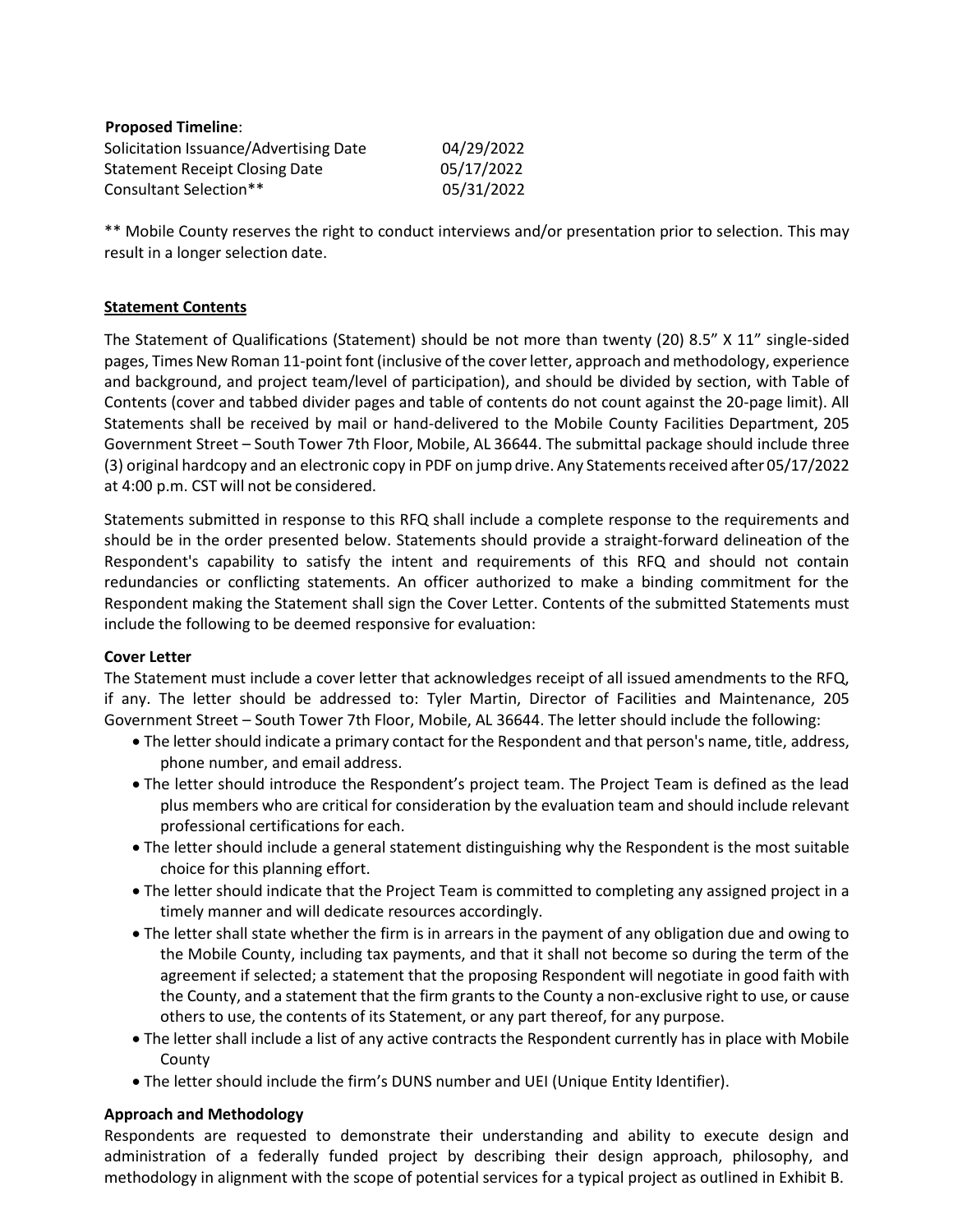| <b>Proposed Timeline:</b>              |            |
|----------------------------------------|------------|
| Solicitation Issuance/Advertising Date | 04/29/2022 |
| <b>Statement Receipt Closing Date</b>  | 05/17/2022 |
| Consultant Selection**                 | 05/31/2022 |

\*\* Mobile County reserves the right to conduct interviews and/or presentation prior to selection. This may result in a longer selection date.

#### **Statement Contents**

The Statement of Qualifications (Statement) should be not more than twenty (20) 8.5" X 11" single-sided pages, Times New Roman 11-point font (inclusive of the cover letter, approach and methodology, experience and background, and project team/level of participation), and should be divided by section, with Table of Contents (cover and tabbed divider pages and table of contents do not count against the 20-page limit). All Statements shall be received by mail or hand-delivered to the Mobile County Facilities Department, 205 Government Street – South Tower 7th Floor, Mobile, AL 36644. The submittal package should include three (3) original hardcopy and an electronic copy in PDF on jump drive. Any Statementsreceived after 05/17/2022 at 4:00 p.m. CST will not be considered.

Statements submitted in response to this RFQ shall include a complete response to the requirements and should be in the order presented below. Statements should provide a straight-forward delineation of the Respondent's capability to satisfy the intent and requirements of this RFQ and should not contain redundancies or conflicting statements. An officer authorized to make a binding commitment for the Respondent making the Statement shall sign the Cover Letter. Contents of the submitted Statements must include the following to be deemed responsive for evaluation:

#### **Cover Letter**

The Statement must include a cover letter that acknowledges receipt of all issued amendments to the RFQ, if any. The letter should be addressed to: Tyler Martin, Director of Facilities and Maintenance, 205 Government Street – South Tower 7th Floor, Mobile, AL 36644. The letter should include the following:

- The letter should indicate a primary contact forthe Respondent and that person's name, title, address, phone number, and email address.
- The letter should introduce the Respondent's project team. The Project Team is defined as the lead plus members who are critical for consideration by the evaluation team and should include relevant professional certifications for each.
- The letter should include a general statement distinguishing why the Respondent is the most suitable choice for this planning effort.
- The letter should indicate that the Project Team is committed to completing any assigned project in a timely manner and will dedicate resources accordingly.
- The letter shall state whether the firm is in arrears in the payment of any obligation due and owing to the Mobile County, including tax payments, and that it shall not become so during the term of the agreement if selected; a statement that the proposing Respondent will negotiate in good faith with the County, and a statement that the firm grants to the County a non-exclusive right to use, or cause others to use, the contents of its Statement, or any part thereof, for any purpose.
- The letter shall include a list of any active contracts the Respondent currently has in place with Mobile County
- The letter should include the firm's DUNS number and UEI (Unique Entity Identifier).

#### **Approach and Methodology**

Respondents are requested to demonstrate their understanding and ability to execute design and administration of a federally funded project by describing their design approach, philosophy, and methodology in alignment with the scope of potential services for a typical project as outlined in Exhibit B.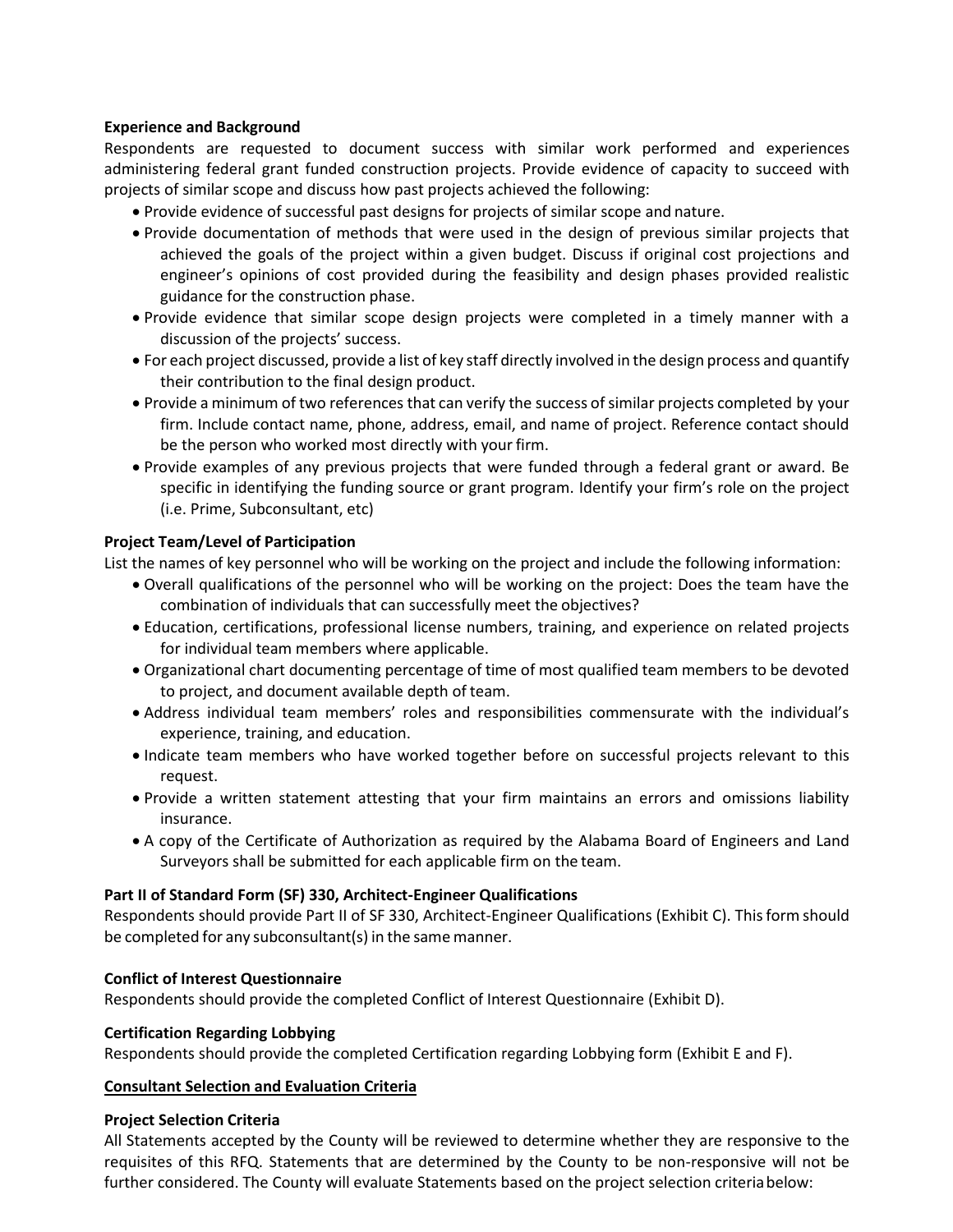#### **Experience and Background**

Respondents are requested to document success with similar work performed and experiences administering federal grant funded construction projects. Provide evidence of capacity to succeed with projects of similar scope and discuss how past projects achieved the following:

- Provide evidence of successful past designs for projects of similar scope and nature.
- Provide documentation of methods that were used in the design of previous similar projects that achieved the goals of the project within a given budget. Discuss if original cost projections and engineer's opinions of cost provided during the feasibility and design phases provided realistic guidance for the construction phase.
- Provide evidence that similar scope design projects were completed in a timely manner with a discussion of the projects' success.
- For each project discussed, provide a list of key staff directly involved in the design process and quantify their contribution to the final design product.
- Provide a minimum of two references that can verify the success ofsimilar projects completed by your firm. Include contact name, phone, address, email, and name of project. Reference contact should be the person who worked most directly with your firm.
- Provide examples of any previous projects that were funded through a federal grant or award. Be specific in identifying the funding source or grant program. Identify your firm's role on the project (i.e. Prime, Subconsultant, etc)

#### **Project Team/Level of Participation**

List the names of key personnel who will be working on the project and include the following information:

- Overall qualifications of the personnel who will be working on the project: Does the team have the combination of individuals that can successfully meet the objectives?
- Education, certifications, professional license numbers, training, and experience on related projects for individual team members where applicable.
- Organizational chart documenting percentage of time of most qualified team members to be devoted to project, and document available depth of team.
- Address individual team members' roles and responsibilities commensurate with the individual's experience, training, and education.
- Indicate team members who have worked together before on successful projects relevant to this request.
- Provide a written statement attesting that your firm maintains an errors and omissions liability insurance.
- A copy of the Certificate of Authorization as required by the Alabama Board of Engineers and Land Surveyors shall be submitted for each applicable firm on the team.

#### **Part II of Standard Form (SF) 330, Architect-Engineer Qualifications**

Respondents should provide Part II of SF 330, Architect-Engineer Qualifications (Exhibit C). Thisform should be completed for any subconsultant(s) in the same manner.

#### **Conflict of Interest Questionnaire**

Respondents should provide the completed Conflict of Interest Questionnaire (Exhibit D).

#### **Certification Regarding Lobbying**

Respondents should provide the completed Certification regarding Lobbying form (Exhibit E and F).

#### **Consultant Selection and Evaluation Criteria**

#### **Project Selection Criteria**

All Statements accepted by the County will be reviewed to determine whether they are responsive to the requisites of this RFQ. Statements that are determined by the County to be non-responsive will not be further considered. The County will evaluate Statements based on the project selection criteriabelow: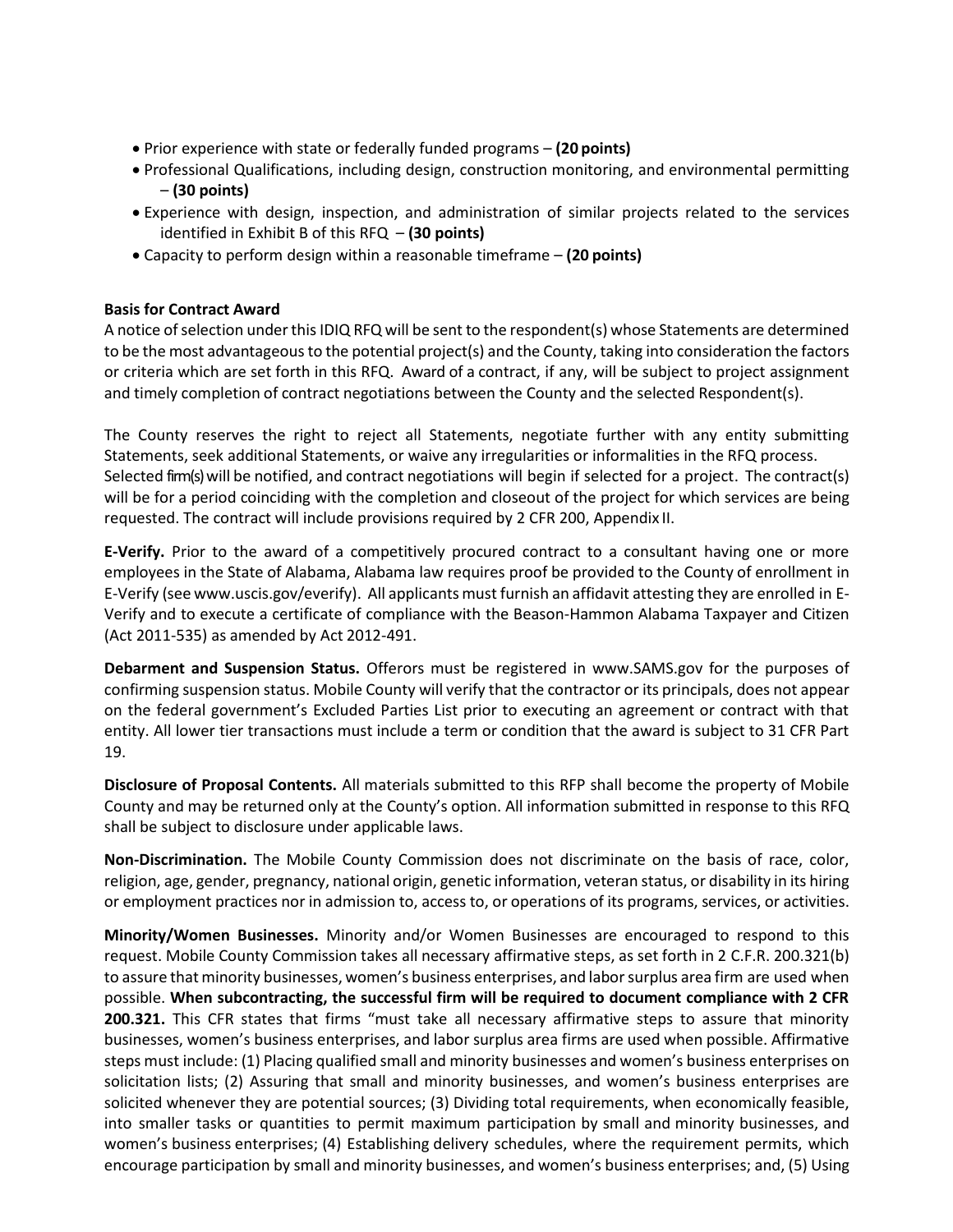- Prior experience with state or federally funded programs **(20 points)**
- Professional Qualifications, including design, construction monitoring, and environmental permitting – **(30 points)**
- Experience with design, inspection, and administration of similar projects related to the services identified in Exhibit B of this RFQ – **(30 points)**
- Capacity to perform design within a reasonable timeframe **(20 points)**

#### **Basis for Contract Award**

A notice of selection under this IDIQ RFQ will be sent to the respondent(s) whose Statements are determined to be the most advantageous to the potential project(s) and the County, taking into consideration the factors or criteria which are set forth in this RFQ. Award of a contract, if any, will be subject to project assignment and timely completion of contract negotiations between the County and the selected Respondent(s).

The County reserves the right to reject all Statements, negotiate further with any entity submitting Statements, seek additional Statements, or waive any irregularities or informalities in the RFQ process. Selected firm(s) will be notified, and contract negotiations will begin if selected for a project. The contract(s) will be for a period coinciding with the completion and closeout of the project for which services are being requested. The contract will include provisions required by 2 CFR 200, Appendix II.

**E-Verify.** Prior to the award of a competitively procured contract to a consultant having one or more employees in the State of Alabama, Alabama law requires proof be provided to the County of enrollment in E-Verify (see [www.uscis.gov/everify\).](http://www.uscis.gov/everify)) All applicants must furnish an affidavit attesting they are enrolled in E-Verify and to execute a certificate of compliance with the Beason-Hammon Alabama Taxpayer and Citizen (Act 2011-535) as amended by Act 2012-491.

**Debarment and Suspension Status.** Offerors must be registered in [www.SAMS.gov f](http://www.sams.gov/)or the purposes of confirming suspension status. Mobile County will verify that the contractor or its principals, does not appear on the federal government's Excluded Parties List prior to executing an agreement or contract with that entity. All lower tier transactions must include a term or condition that the award is subject to 31 CFR Part 19.

**Disclosure of Proposal Contents.** All materials submitted to this RFP shall become the property of Mobile County and may be returned only at the County's option. All information submitted in response to this RFQ shall be subject to disclosure under applicable laws.

**Non-Discrimination.** The Mobile County Commission does not discriminate on the basis of race, color, religion, age, gender, pregnancy, national origin, genetic information, veteran status, or disability in its hiring or employment practices nor in admission to, access to, or operations of its programs, services, or activities.

**Minority/Women Businesses.** Minority and/or Women Businesses are encouraged to respond to this request. Mobile County Commission takes all necessary affirmative steps, as set forth in 2 C.F.R. 200.321(b) to assure that minority businesses, women's business enterprises, and labor surplus area firm are used when possible. **When subcontracting, the successful firm will be required to document compliance with 2 CFR 200.321.** This CFR states that firms "must take all necessary affirmative steps to assure that minority businesses, women's business enterprises, and labor surplus area firms are used when possible. Affirmative steps must include: (1) Placing qualified small and minority businesses and women's business enterprises on solicitation lists; (2) Assuring that small and minority businesses, and women's business enterprises are solicited whenever they are potential sources; (3) Dividing total requirements, when economically feasible, into smaller tasks or quantities to permit maximum participation by small and minority businesses, and women's business enterprises; (4) Establishing delivery schedules, where the requirement permits, which encourage participation by small and minority businesses, and women's business enterprises; and, (5) Using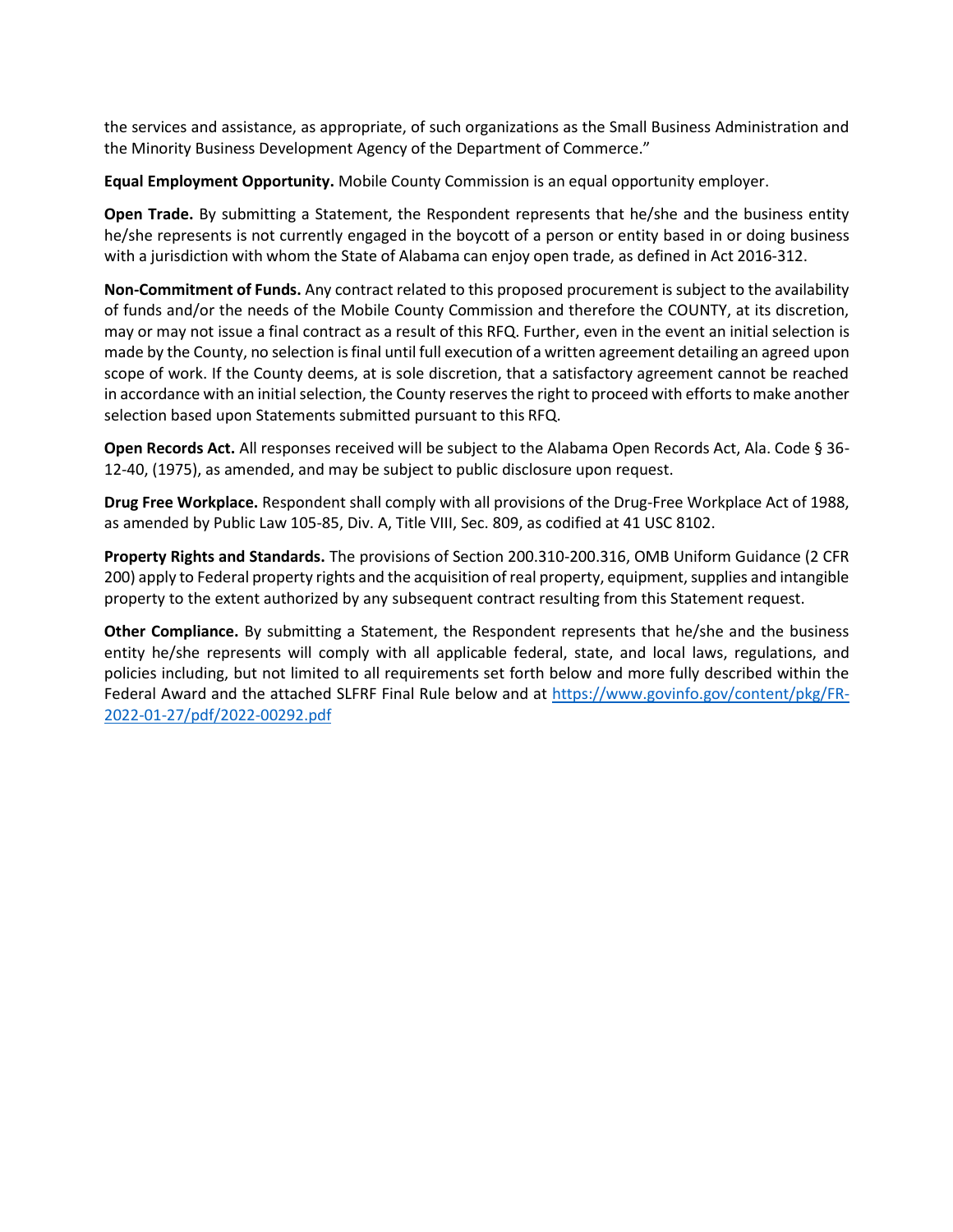the services and assistance, as appropriate, of such organizations as the Small Business Administration and the Minority Business Development Agency of the Department of Commerce."

**Equal Employment Opportunity.** Mobile County Commission is an equal opportunity employer.

**Open Trade.** By submitting a Statement, the Respondent represents that he/she and the business entity he/she represents is not currently engaged in the boycott of a person or entity based in or doing business with a jurisdiction with whom the State of Alabama can enjoy open trade, as defined in Act 2016-312.

**Non-Commitment of Funds.** Any contract related to this proposed procurement is subject to the availability of funds and/or the needs of the Mobile County Commission and therefore the COUNTY, at its discretion, may or may not issue a final contract as a result of this RFQ. Further, even in the event an initial selection is made by the County, no selection isfinal until full execution of a written agreement detailing an agreed upon scope of work. If the County deems, at is sole discretion, that a satisfactory agreement cannot be reached in accordance with an initial selection, the County reserves the right to proceed with efforts to make another selection based upon Statements submitted pursuant to this RFQ.

**Open Records Act.** All responses received will be subject to the Alabama Open Records Act, Ala. Code § 36- 12-40, (1975), as amended, and may be subject to public disclosure upon request.

**Drug Free Workplace.** Respondent shall comply with all provisions of the Drug-Free Workplace Act of 1988, as amended by Public Law 105-85, Div. A, Title VIII, Sec. 809, as codified at 41 USC 8102.

**Property Rights and Standards.** The provisions of Section 200.310-200.316, OMB Uniform Guidance (2 CFR 200) apply to Federal property rights and the acquisition of real property, equipment, supplies and intangible property to the extent authorized by any subsequent contract resulting from this Statement request.

**Other Compliance.** By submitting a Statement, the Respondent represents that he/she and the business entity he/she represents will comply with all applicable federal, state, and local laws, regulations, and policies including, but not limited to all requirements set forth below and more fully described within the Federal Award and the attached SLFRF Final Rule below and at https://www.govinfo.gov/content/pkg/FR-2022-01-27/pdf/2022-00292.pdf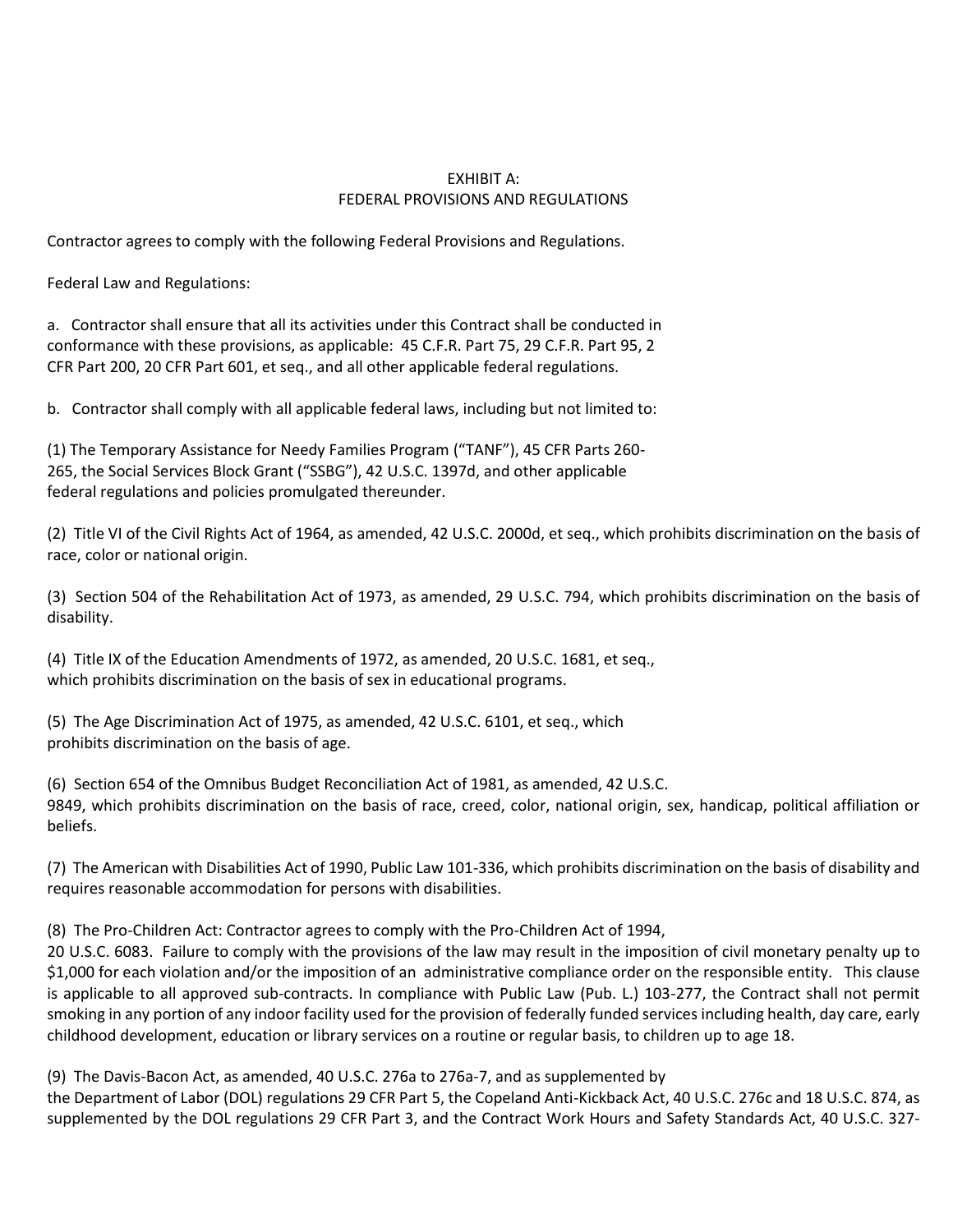#### EXHIBIT A: FEDERAL PROVISIONS AND REGULATIONS

Contractor agrees to comply with the following Federal Provisions and Regulations.

Federal Law and Regulations:

a. Contractor shall ensure that all its activities under this Contract shall be conducted in conformance with these provisions, as applicable: 45 C.F.R. Part 75, 29 C.F.R. Part 95, 2 CFR Part 200, 20 CFR Part 601, et seq., and all other applicable federal regulations.

b. Contractor shall comply with all applicable federal laws, including but not limited to:

(1) The Temporary Assistance for Needy Families Program ("TANF"), 45 CFR Parts 260- 265, the Social Services Block Grant ("SSBG"), 42 U.S.C. 1397d, and other applicable federal regulations and policies promulgated thereunder.

(2) Title VI of the Civil Rights Act of 1964, as amended, 42 U.S.C. 2000d, et seq., which prohibits discrimination on the basis of race, color or national origin.

(3) Section 504 of the Rehabilitation Act of 1973, as amended, 29 U.S.C. 794, which prohibits discrimination on the basis of disability.

(4) Title IX of the Education Amendments of 1972, as amended, 20 U.S.C. 1681, et seq., which prohibits discrimination on the basis of sex in educational programs.

```
(5) The Age Discrimination Act of 1975, as amended, 42 U.S.C. 6101, et seq., which
prohibits discrimination on the basis of age.
```
(6) Section 654 of the Omnibus Budget Reconciliation Act of 1981, as amended, 42 U.S.C. 9849, which prohibits discrimination on the basis of race, creed, color, national origin, sex, handicap, political affiliation or beliefs.

(7) The American with Disabilities Act of 1990, Public Law 101-336, which prohibits discrimination on the basis of disability and requires reasonable accommodation for persons with disabilities.

(8) The Pro-Children Act: Contractor agrees to comply with the Pro-Children Act of 1994,

20 U.S.C. 6083. Failure to comply with the provisions of the law may result in the imposition of civil monetary penalty up to \$1,000 for each violation and/or the imposition of an administrative compliance order on the responsible entity. This clause is applicable to all approved sub-contracts. In compliance with Public Law (Pub. L.) 103-277, the Contract shall not permit smoking in any portion of any indoor facility used for the provision of federally funded services including health, day care, early childhood development, education or library services on a routine or regular basis, to children up to age 18.

(9) The Davis-Bacon Act, as amended, 40 U.S.C. 276a to 276a-7, and as supplemented by

the Department of Labor (DOL) regulations 29 CFR Part 5, the Copeland Anti-Kickback Act, 40 U.S.C. 276c and 18 U.S.C. 874, as supplemented by the DOL regulations 29 CFR Part 3, and the Contract Work Hours and Safety Standards Act, 40 U.S.C. 327-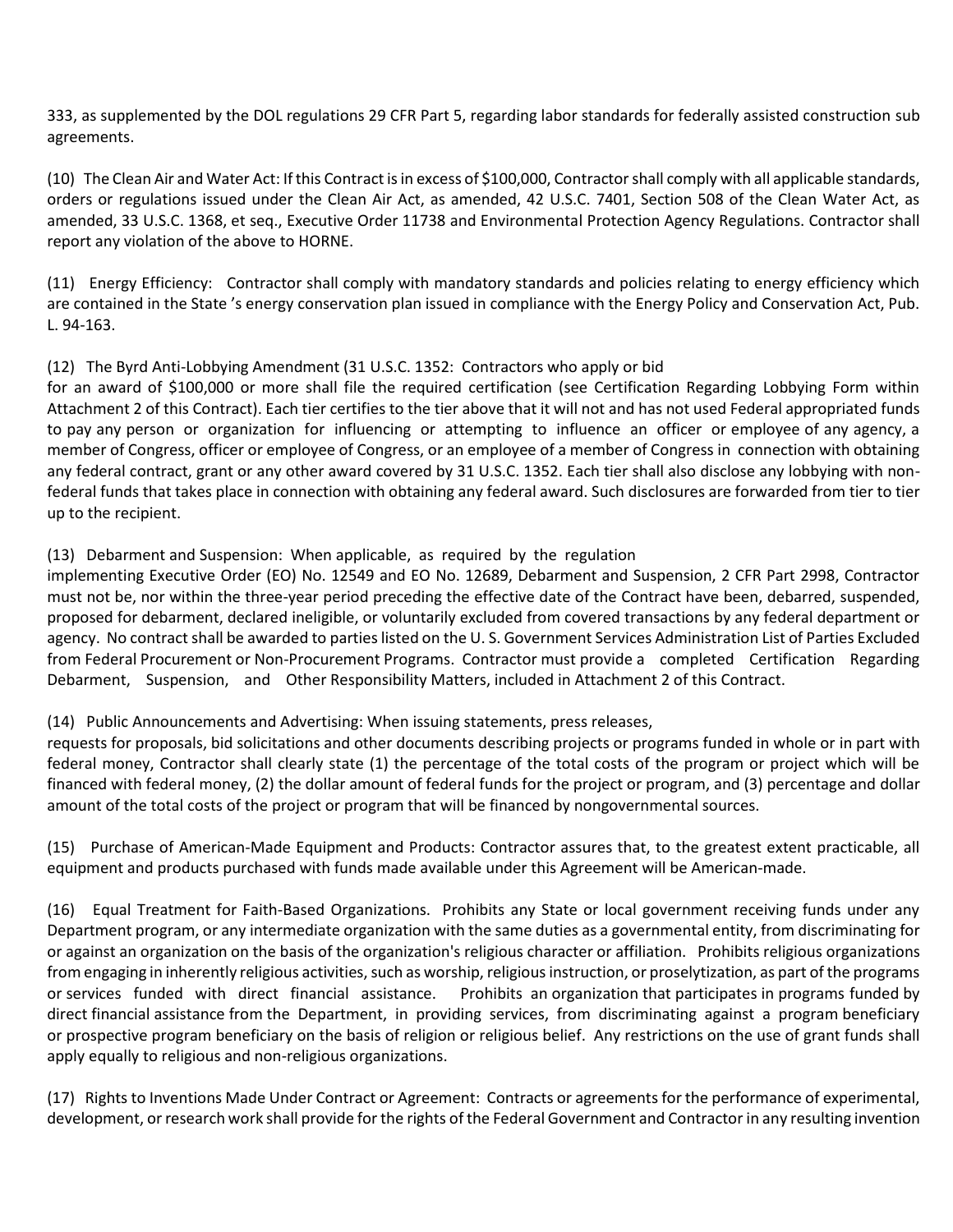333, as supplemented by the DOL regulations 29 CFR Part 5, regarding labor standards for federally assisted construction sub agreements.

(10) The Clean Air and Water Act: If this Contract is in excess of \$100,000, Contractor shall comply with all applicable standards, orders or regulations issued under the Clean Air Act, as amended, 42 U.S.C. 7401, Section 508 of the Clean Water Act, as amended, 33 U.S.C. 1368, et seq., Executive Order 11738 and Environmental Protection Agency Regulations. Contractor shall report any violation of the above to HORNE.

(11) Energy Efficiency: Contractor shall comply with mandatory standards and policies relating to energy efficiency which are contained in the State 's energy conservation plan issued in compliance with the Energy Policy and Conservation Act, Pub. L. 94-163.

# (12) The Byrd Anti-Lobbying Amendment (31 U.S.C. 1352: Contractors who apply or bid

for an award of \$100,000 or more shall file the required certification (see Certification Regarding Lobbying Form within Attachment 2 of this Contract). Each tier certifies to the tier above that it will not and has not used Federal appropriated funds to pay any person or organization for influencing or attempting to influence an officer or employee of any agency, a member of Congress, officer or employee of Congress, or an employee of a member of Congress in connection with obtaining any federal contract, grant or any other award covered by 31 U.S.C. 1352. Each tier shall also disclose any lobbying with nonfederal funds that takes place in connection with obtaining any federal award. Such disclosures are forwarded from tier to tier up to the recipient.

# (13) Debarment and Suspension: When applicable, as required by the regulation

implementing Executive Order (EO) No. 12549 and EO No. 12689, Debarment and Suspension, 2 CFR Part 2998, Contractor must not be, nor within the three-year period preceding the effective date of the Contract have been, debarred, suspended, proposed for debarment, declared ineligible, or voluntarily excluded from covered transactions by any federal department or agency. No contract shall be awarded to parties listed on the U. S. Government Services Administration List of Parties Excluded from Federal Procurement or Non-Procurement Programs. Contractor must provide a completed Certification Regarding Debarment, Suspension, and Other Responsibility Matters, included in Attachment 2 of this Contract.

# (14) Public Announcements and Advertising: When issuing statements, press releases,

requests for proposals, bid solicitations and other documents describing projects or programs funded in whole or in part with federal money, Contractor shall clearly state (1) the percentage of the total costs of the program or project which will be financed with federal money, (2) the dollar amount of federal funds for the project or program, and (3) percentage and dollar amount of the total costs of the project or program that will be financed by nongovernmental sources.

(15) Purchase of American-Made Equipment and Products: Contractor assures that, to the greatest extent practicable, all equipment and products purchased with funds made available under this Agreement will be American-made.

(16) Equal Treatment for Faith-Based Organizations. Prohibits any State or local government receiving funds under any Department program, or any intermediate organization with the same duties as a governmental entity, from discriminating for or against an organization on the basis of the organization's religious character or affiliation. Prohibits religious organizations from engaging in inherently religious activities, such as worship, religious instruction, or proselytization, as part of the programs or services funded with direct financial assistance. Prohibits an organization that participates in programs funded by direct financial assistance from the Department, in providing services, from discriminating against a program beneficiary or prospective program beneficiary on the basis of religion or religious belief. Any restrictions on the use of grant funds shall apply equally to religious and non-religious organizations.

(17) Rights to Inventions Made Under Contract or Agreement: Contracts or agreements for the performance of experimental, development, or research work shall provide for the rights of the Federal Government and Contractor in any resulting invention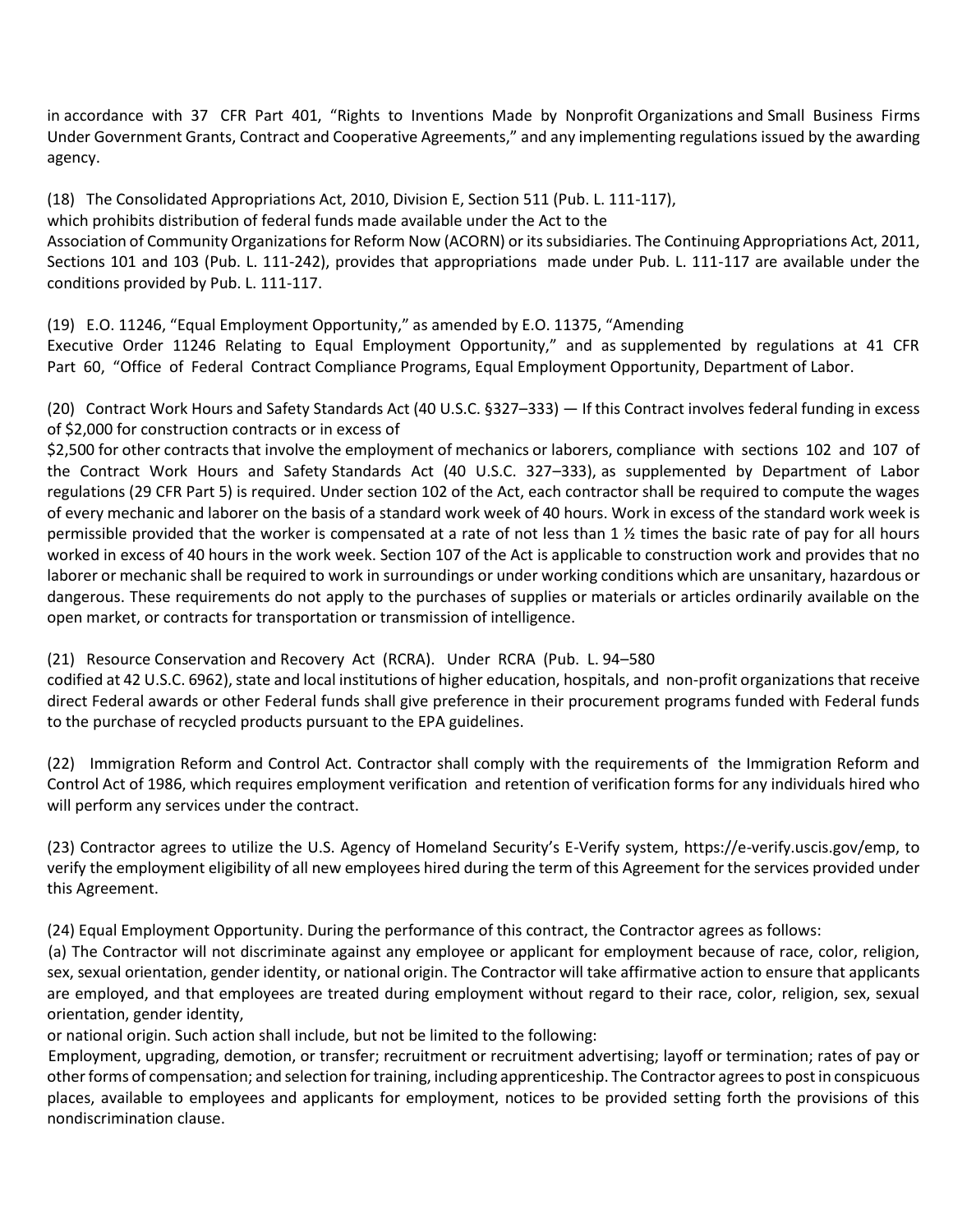in accordance with 37 CFR Part 401, "Rights to Inventions Made by Nonprofit Organizations and Small Business Firms Under Government Grants, Contract and Cooperative Agreements," and any implementing regulations issued by the awarding agency.

(18) The Consolidated Appropriations Act, 2010, Division E, Section 511 (Pub. L. 111-117),

which prohibits distribution of federal funds made available under the Act to the

Association of Community Organizations for Reform Now (ACORN) or its subsidiaries. The Continuing Appropriations Act, 2011, Sections 101 and 103 (Pub. L. 111-242), provides that appropriations made under Pub. L. 111-117 are available under the conditions provided by Pub. L. 111-117.

(19) E.O. 11246, "Equal Employment Opportunity," as amended by E.O. 11375, "Amending

Executive Order 11246 Relating to Equal Employment Opportunity," and as supplemented by regulations at 41 CFR Part 60, "Office of Federal Contract Compliance Programs, Equal Employment Opportunity, Department of Labor.

(20) Contract Work Hours and Safety Standards Act (40 U.S.C. §327–333) — If this Contract involves federal funding in excess of \$2,000 for construction contracts or in excess of

\$2,500 for other contracts that involve the employment of mechanics or laborers, compliance with sections 102 and 107 of the Contract Work Hours and Safety Standards Act (40 U.S.C. 327–333), as supplemented by Department of Labor regulations (29 CFR Part 5) is required. Under section 102 of the Act, each contractor shall be required to compute the wages of every mechanic and laborer on the basis of a standard work week of 40 hours. Work in excess of the standard work week is permissible provided that the worker is compensated at a rate of not less than 1  $\frac{1}{2}$  times the basic rate of pay for all hours worked in excess of 40 hours in the work week. Section 107 of the Act is applicable to construction work and provides that no laborer or mechanic shall be required to work in surroundings or under working conditions which are unsanitary, hazardous or dangerous. These requirements do not apply to the purchases of supplies or materials or articles ordinarily available on the open market, or contracts for transportation or transmission of intelligence.

(21) Resource Conservation and Recovery Act (RCRA). Under RCRA (Pub. L. 94–580

codified at 42 U.S.C. 6962), state and local institutions of higher education, hospitals, and non-profit organizations that receive direct Federal awards or other Federal funds shall give preference in their procurement programs funded with Federal funds to the purchase of recycled products pursuant to the EPA guidelines.

(22) Immigration Reform and Control Act. Contractor shall comply with the requirements of the Immigration Reform and Control Act of 1986, which requires employment verification and retention of verification forms for any individuals hired who will perform any services under the contract.

(23) Contractor agrees to utilize the U.S. Agency of Homeland Security's E-Verify system, https://e-verify.uscis.gov/emp, to verify the employment eligibility of all new employees hired during the term of this Agreement for the services provided under this Agreement.

(24) Equal Employment Opportunity. During the performance of this contract, the Contractor agrees as follows:

(a) The Contractor will not discriminate against any employee or applicant for employment because of race, color, religion, sex, sexual orientation, gender identity, or national origin. The Contractor will take affirmative action to ensure that applicants are employed, and that employees are treated during employment without regard to their race, color, religion, sex, sexual orientation, gender identity,

or national origin. Such action shall include, but not be limited to the following:

Employment, upgrading, demotion, or transfer; recruitment or recruitment advertising; layoff or termination; rates of pay or other forms of compensation; and selection for training, including apprenticeship. The Contractor agrees to post in conspicuous places, available to employees and applicants for employment, notices to be provided setting forth the provisions of this nondiscrimination clause.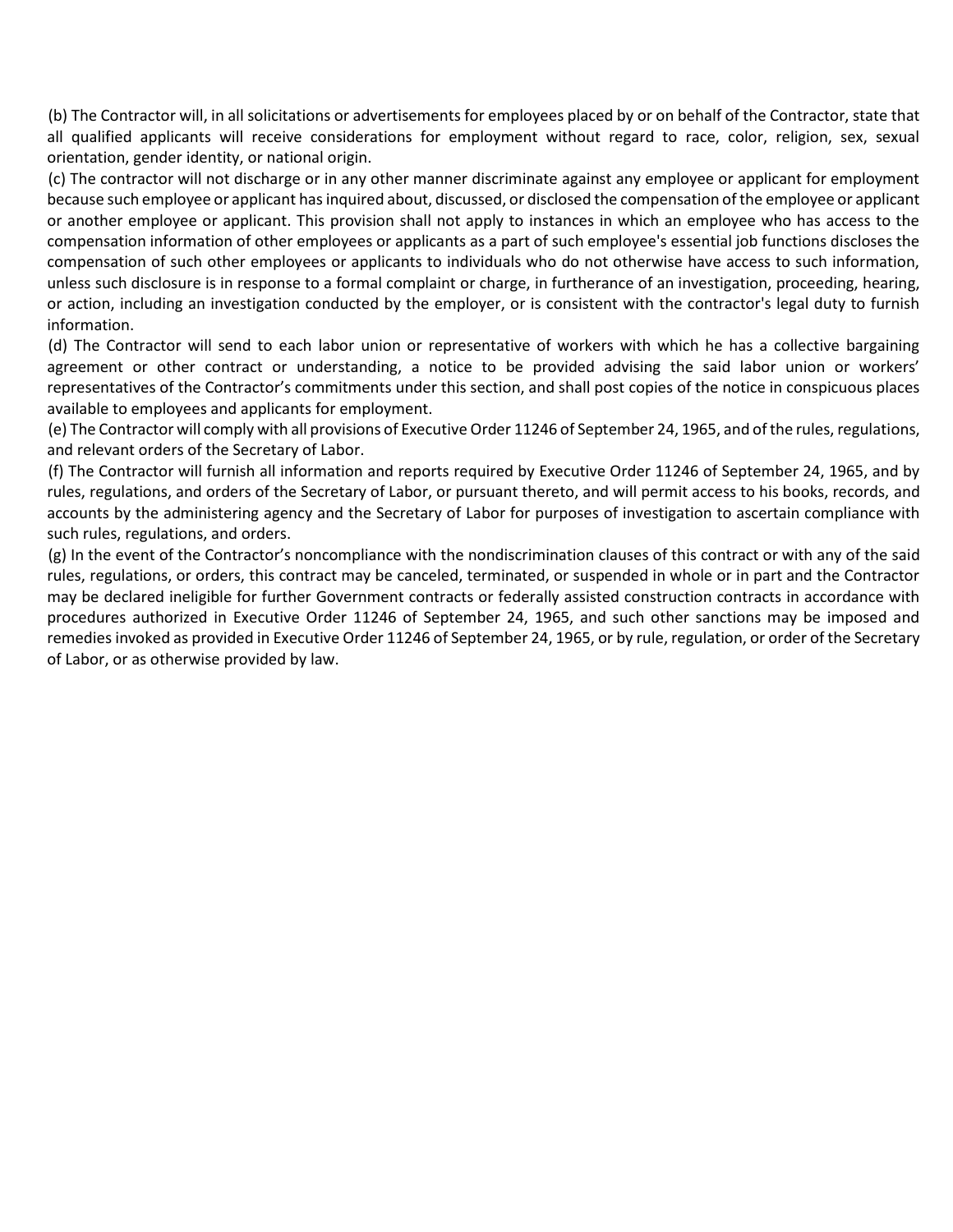(b) The Contractor will, in all solicitations or advertisements for employees placed by or on behalf of the Contractor, state that all qualified applicants will receive considerations for employment without regard to race, color, religion, sex, sexual orientation, gender identity, or national origin.

(c) The contractor will not discharge or in any other manner discriminate against any employee or applicant for employment because such employee or applicant has inquired about, discussed, or disclosed the compensation of the employee or applicant or another employee or applicant. This provision shall not apply to instances in which an employee who has access to the compensation information of other employees or applicants as a part of such employee's essential job functions discloses the compensation of such other employees or applicants to individuals who do not otherwise have access to such information, unless such disclosure is in response to a formal complaint or charge, in furtherance of an investigation, proceeding, hearing, or action, including an investigation conducted by the employer, or is consistent with the contractor's legal duty to furnish information.

(d) The Contractor will send to each labor union or representative of workers with which he has a collective bargaining agreement or other contract or understanding, a notice to be provided advising the said labor union or workers' representatives of the Contractor's commitments under this section, and shall post copies of the notice in conspicuous places available to employees and applicants for employment.

(e) The Contractor will comply with all provisions of Executive Order 11246 of September 24, 1965, and of the rules, regulations, and relevant orders of the Secretary of Labor.

(f) The Contractor will furnish all information and reports required by Executive Order 11246 of September 24, 1965, and by rules, regulations, and orders of the Secretary of Labor, or pursuant thereto, and will permit access to his books, records, and accounts by the administering agency and the Secretary of Labor for purposes of investigation to ascertain compliance with such rules, regulations, and orders.

(g) In the event of the Contractor's noncompliance with the nondiscrimination clauses of this contract or with any of the said rules, regulations, or orders, this contract may be canceled, terminated, or suspended in whole or in part and the Contractor may be declared ineligible for further Government contracts or federally assisted construction contracts in accordance with procedures authorized in Executive Order 11246 of September 24, 1965, and such other sanctions may be imposed and remedies invoked as provided in Executive Order 11246 of September 24, 1965, or by rule, regulation, or order of the Secretary of Labor, or as otherwise provided by law.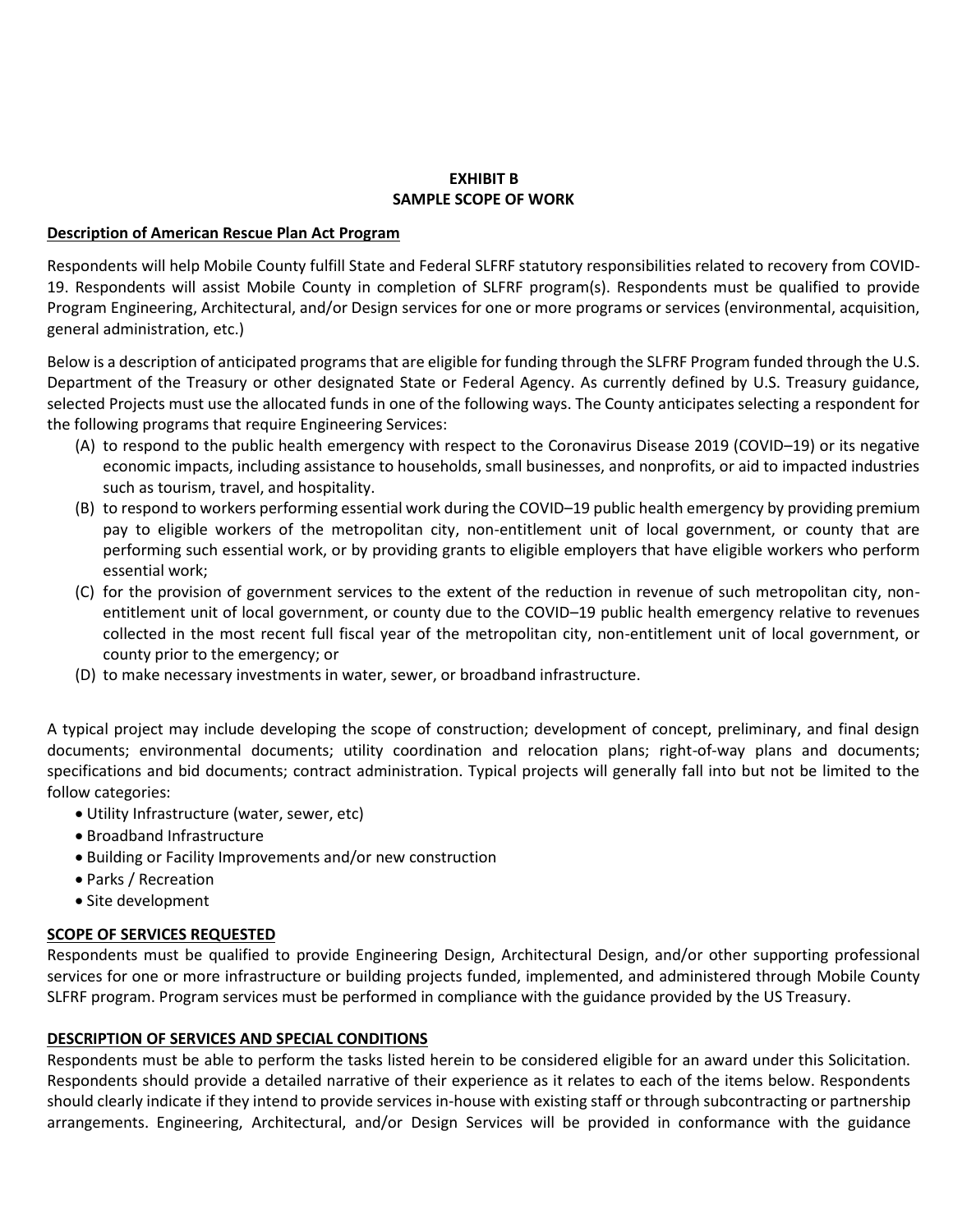#### **EXHIBIT B SAMPLE SCOPE OF WORK**

#### **Description of American Rescue Plan Act Program**

Respondents will help Mobile County fulfill State and Federal SLFRF statutory responsibilities related to recovery from COVID-19. Respondents will assist Mobile County in completion of SLFRF program(s). Respondents must be qualified to provide Program Engineering, Architectural, and/or Design services for one or more programs or services (environmental, acquisition, general administration, etc.)

Below is a description of anticipated programs that are eligible for funding through the SLFRF Program funded through the U.S. Department of the Treasury or other designated State or Federal Agency. As currently defined by U.S. Treasury guidance, selected Projects must use the allocated funds in one of the following ways. The County anticipates selecting a respondent for the following programs that require Engineering Services:

- (A) to respond to the public health emergency with respect to the Coronavirus Disease 2019 (COVID–19) or its negative economic impacts, including assistance to households, small businesses, and nonprofits, or aid to impacted industries such as tourism, travel, and hospitality.
- (B) to respond to workers performing essential work during the COVID–19 public health emergency by providing premium pay to eligible workers of the metropolitan city, non-entitlement unit of local government, or county that are performing such essential work, or by providing grants to eligible employers that have eligible workers who perform essential work;
- (C) for the provision of government services to the extent of the reduction in revenue of such metropolitan city, nonentitlement unit of local government, or county due to the COVID–19 public health emergency relative to revenues collected in the most recent full fiscal year of the metropolitan city, non-entitlement unit of local government, or county prior to the emergency; or
- (D) to make necessary investments in water, sewer, or broadband infrastructure.

A typical project may include developing the scope of construction; development of concept, preliminary, and final design documents; environmental documents; utility coordination and relocation plans; right-of-way plans and documents; specifications and bid documents; contract administration. Typical projects will generally fall into but not be limited to the follow categories:

- Utility Infrastructure (water, sewer, etc)
- Broadband Infrastructure
- Building or Facility Improvements and/or new construction
- Parks / Recreation
- Site development

#### **SCOPE OF SERVICES REQUESTED**

Respondents must be qualified to provide Engineering Design, Architectural Design, and/or other supporting professional services for one or more infrastructure or building projects funded, implemented, and administered through Mobile County SLFRF program. Program services must be performed in compliance with the guidance provided by the US Treasury.

#### **DESCRIPTION OF SERVICES AND SPECIAL CONDITIONS**

Respondents must be able to perform the tasks listed herein to be considered eligible for an award under this Solicitation. Respondents should provide a detailed narrative of their experience as it relates to each of the items below. Respondents should clearly indicate if they intend to provide services in-house with existing staff or through subcontracting or partnership arrangements. Engineering, Architectural, and/or Design Services will be provided in conformance with the guidance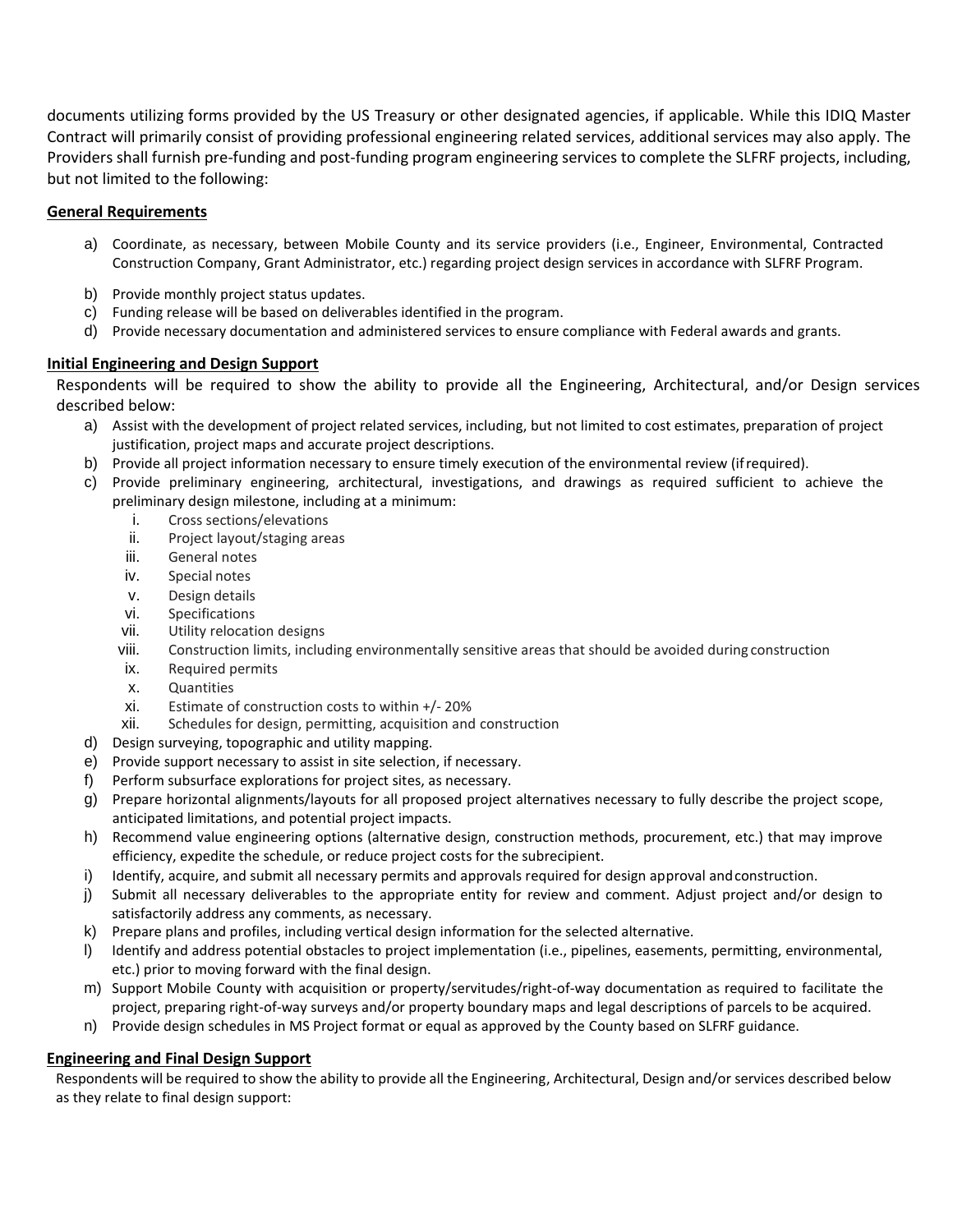documents utilizing forms provided by the US Treasury or other designated agencies, if applicable. While this IDIQ Master Contract will primarily consist of providing professional engineering related services, additional services may also apply. The Providers shall furnish pre-funding and post-funding program engineering services to complete the SLFRF projects, including, but not limited to the following:

#### **General Requirements**

- a) Coordinate, as necessary, between Mobile County and its service providers (i.e., Engineer, Environmental, Contracted Construction Company, Grant Administrator, etc.) regarding project design services in accordance with SLFRF Program.
- b) Provide monthly project status updates.
- c) Funding release will be based on deliverables identified in the program.
- d) Provide necessary documentation and administered services to ensure compliance with Federal awards and grants.

#### **Initial Engineering and Design Support**

Respondents will be required to show the ability to provide all the Engineering, Architectural, and/or Design services described below:

- a) Assist with the development of project related services, including, but not limited to cost estimates, preparation of project justification, project maps and accurate project descriptions.
- b) Provide all project information necessary to ensure timely execution of the environmental review (ifrequired).
- c) Provide preliminary engineering, architectural, investigations, and drawings as required sufficient to achieve the preliminary design milestone, including at a minimum:
	- i. Cross sections/elevations
	- ii. Project layout/staging areas
	- iii. General notes
	- iv. Special notes
	- v. Design details
	- vi. Specifications
	- vii. Utility relocation designs
	- viii. Construction limits, including environmentally sensitive areas that should be avoided during construction
	- ix. Required permits
	- x. Quantities
	- xi. Estimate of construction costs to within +/- 20%
	- xii. Schedules for design, permitting, acquisition and construction
- d) Design surveying, topographic and utility mapping.
- e) Provide support necessary to assist in site selection, if necessary.
- f) Perform subsurface explorations for project sites, as necessary.
- g) Prepare horizontal alignments/layouts for all proposed project alternatives necessary to fully describe the project scope, anticipated limitations, and potential project impacts.
- h) Recommend value engineering options (alternative design, construction methods, procurement, etc.) that may improve efficiency, expedite the schedule, or reduce project costs for the subrecipient.
- i) Identify, acquire, and submit all necessary permits and approvals required for design approval andconstruction.
- j) Submit all necessary deliverables to the appropriate entity for review and comment. Adjust project and/or design to satisfactorily address any comments, as necessary.
- k) Prepare plans and profiles, including vertical design information for the selected alternative.
- l) Identify and address potential obstacles to project implementation (i.e., pipelines, easements, permitting, environmental, etc.) prior to moving forward with the final design.
- m) Support Mobile County with acquisition or property/servitudes/right-of-way documentation as required to facilitate the project, preparing right-of-way surveys and/or property boundary maps and legal descriptions of parcels to be acquired.
- n) Provide design schedules in MS Project format or equal as approved by the County based on SLFRF guidance.

# **Engineering and Final Design Support**

Respondents will be required to show the ability to provide all the Engineering, Architectural, Design and/or services described below as they relate to final design support: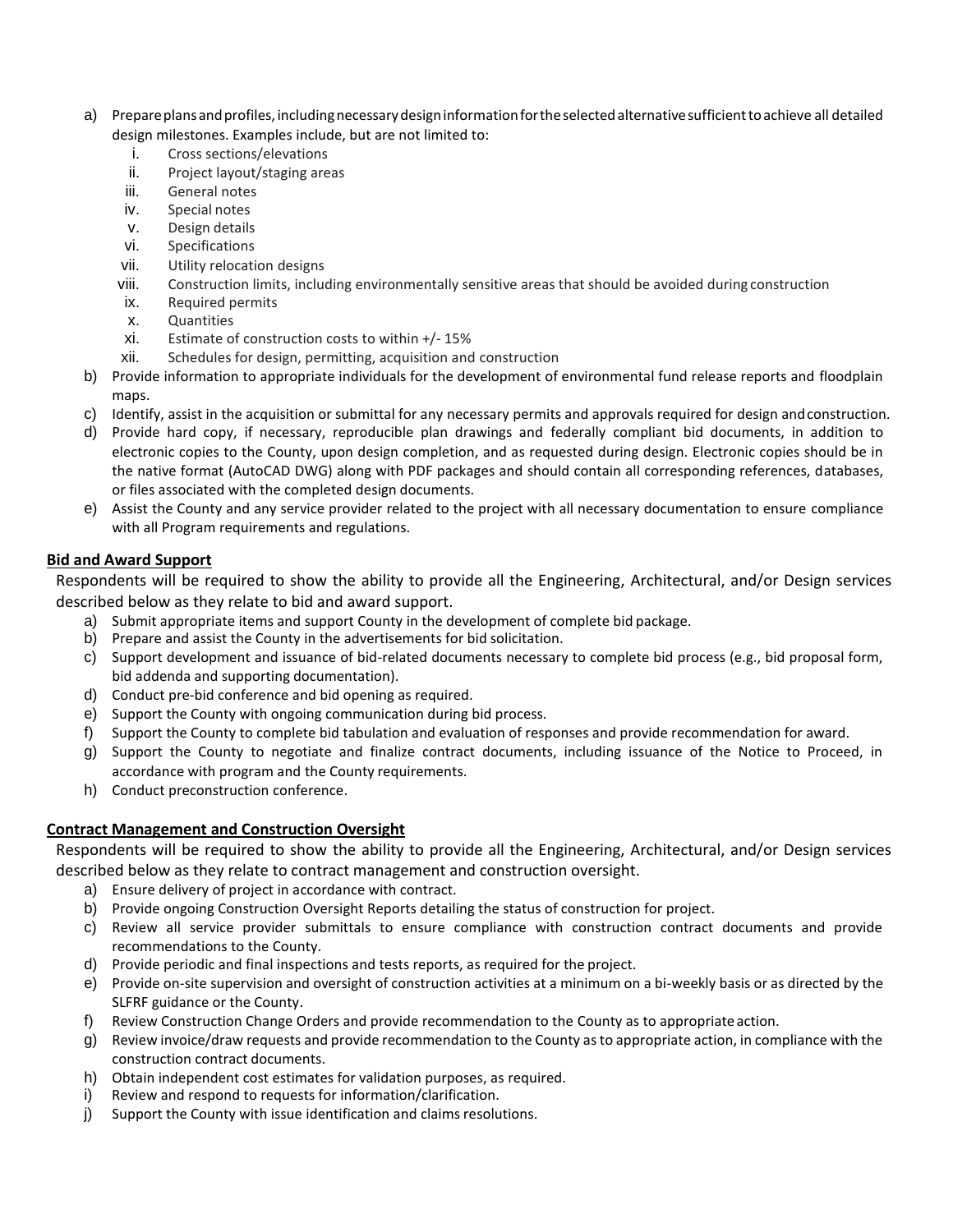- a) Prepare plans and profiles, including necessary design information for the selected alternative sufficient to achieve all detailed design milestones. Examples include, but are not limited to:
	- i. Cross sections/elevations
	- ii. Project layout/staging areas
	- iii. General notes
	- iv. Special notes
	- v. Design details
	- vi. Specifications
	- vii. Utility relocation designs
	- viii. Construction limits, including environmentally sensitive areas that should be avoided during construction
	- ix. Required permits
	- x. Quantities
	- xi. Estimate of construction costs to within +/- 15%
	- xii. Schedules for design, permitting, acquisition and construction
- b) Provide information to appropriate individuals for the development of environmental fund release reports and floodplain maps.
- c) Identify, assist in the acquisition or submittal for any necessary permits and approvals required for design andconstruction.
- d) Provide hard copy, if necessary, reproducible plan drawings and federally compliant bid documents, in addition to electronic copies to the County, upon design completion, and as requested during design. Electronic copies should be in the native format (AutoCAD DWG) along with PDF packages and should contain all corresponding references, databases, or files associated with the completed design documents.
- e) Assist the County and any service provider related to the project with all necessary documentation to ensure compliance with all Program requirements and regulations.

#### **Bid and Award Support**

Respondents will be required to show the ability to provide all the Engineering, Architectural, and/or Design services described below as they relate to bid and award support.

- a) Submit appropriate items and support County in the development of complete bid package.
- b) Prepare and assist the County in the advertisements for bid solicitation.
- c) Support development and issuance of bid-related documents necessary to complete bid process (e.g., bid proposal form, bid addenda and supporting documentation).
- d) Conduct pre-bid conference and bid opening as required.
- e) Support the County with ongoing communication during bid process.
- f) Support the County to complete bid tabulation and evaluation of responses and provide recommendation for award.
- g) Support the County to negotiate and finalize contract documents, including issuance of the Notice to Proceed, in accordance with program and the County requirements.
- h) Conduct preconstruction conference.

# **Contract Management and Construction Oversight**

Respondents will be required to show the ability to provide all the Engineering, Architectural, and/or Design services described below as they relate to contract management and construction oversight.

- a) Ensure delivery of project in accordance with contract.
- b) Provide ongoing Construction Oversight Reports detailing the status of construction for project.
- c) Review all service provider submittals to ensure compliance with construction contract documents and provide recommendations to the County.
- d) Provide periodic and final inspections and tests reports, as required for the project.
- e) Provide on-site supervision and oversight of construction activities at a minimum on a bi-weekly basis or as directed by the SLFRF guidance or the County.
- f) Review Construction Change Orders and provide recommendation to the County as to appropriate action.
- g) Review invoice/draw requests and provide recommendation to the County as to appropriate action, in compliance with the construction contract documents.
- h) Obtain independent cost estimates for validation purposes, as required.
- i) Review and respond to requests for information/clarification.
- j) Support the County with issue identification and claims resolutions.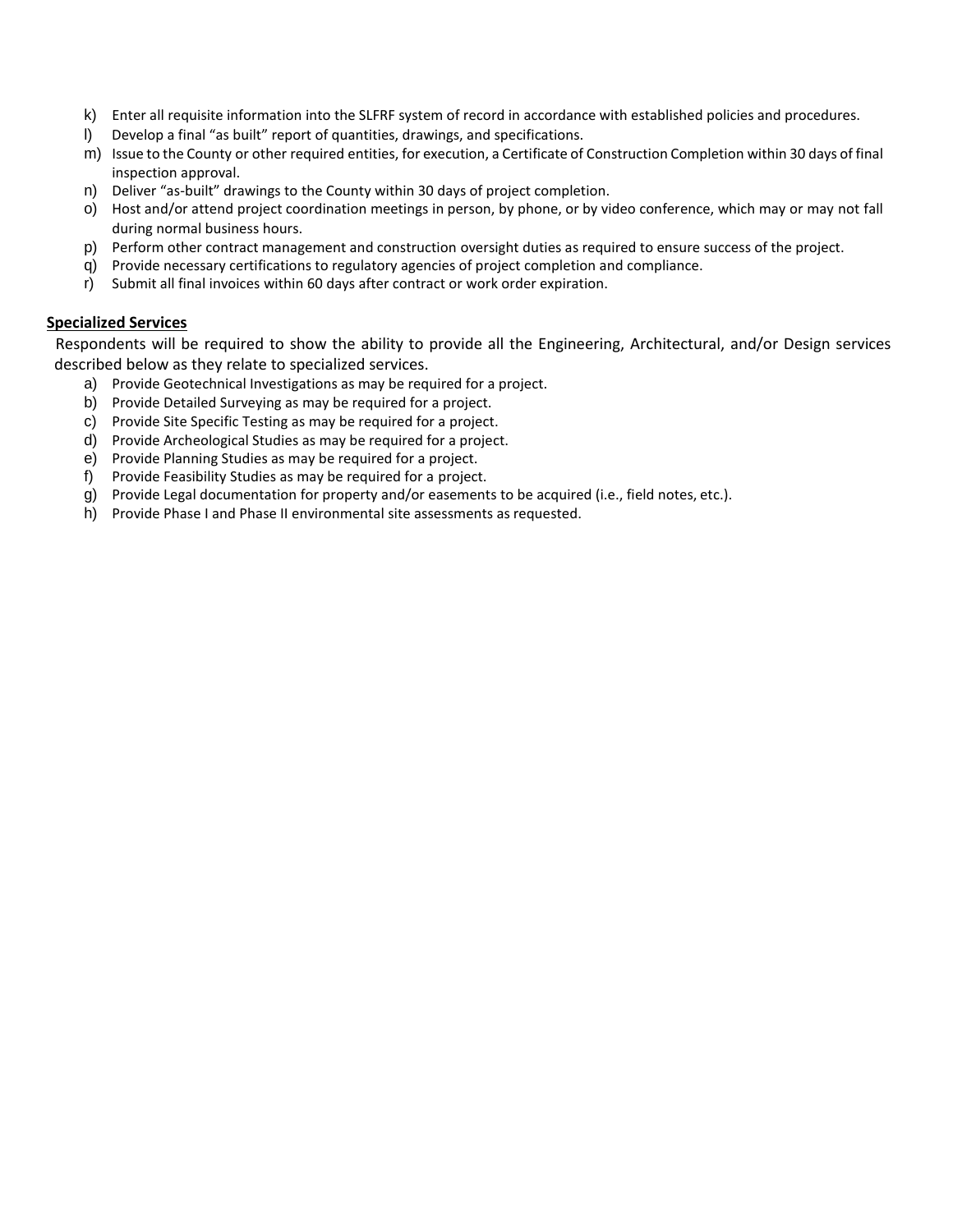- k) Enter all requisite information into the SLFRF system of record in accordance with established policies and procedures.
- l) Develop a final "as built" report of quantities, drawings, and specifications.
- m) Issue to the County or other required entities, for execution, a Certificate of Construction Completion within 30 days of final inspection approval.
- n) Deliver "as-built" drawings to the County within 30 days of project completion.
- o) Host and/or attend project coordination meetings in person, by phone, or by video conference, which may or may not fall during normal business hours.
- p) Perform other contract management and construction oversight duties as required to ensure success of the project.
- q) Provide necessary certifications to regulatory agencies of project completion and compliance.
- r) Submit all final invoices within 60 days after contract or work order expiration.

#### **Specialized Services**

Respondents will be required to show the ability to provide all the Engineering, Architectural, and/or Design services described below as they relate to specialized services.

- a) Provide Geotechnical Investigations as may be required for a project.
- b) Provide Detailed Surveying as may be required for a project.
- c) Provide Site Specific Testing as may be required for a project.
- d) Provide Archeological Studies as may be required for a project.
- e) Provide Planning Studies as may be required for a project.
- f) Provide Feasibility Studies as may be required for a project.
- g) Provide Legal documentation for property and/or easements to be acquired (i.e., field notes, etc.).
- h) Provide Phase I and Phase II environmental site assessments as requested.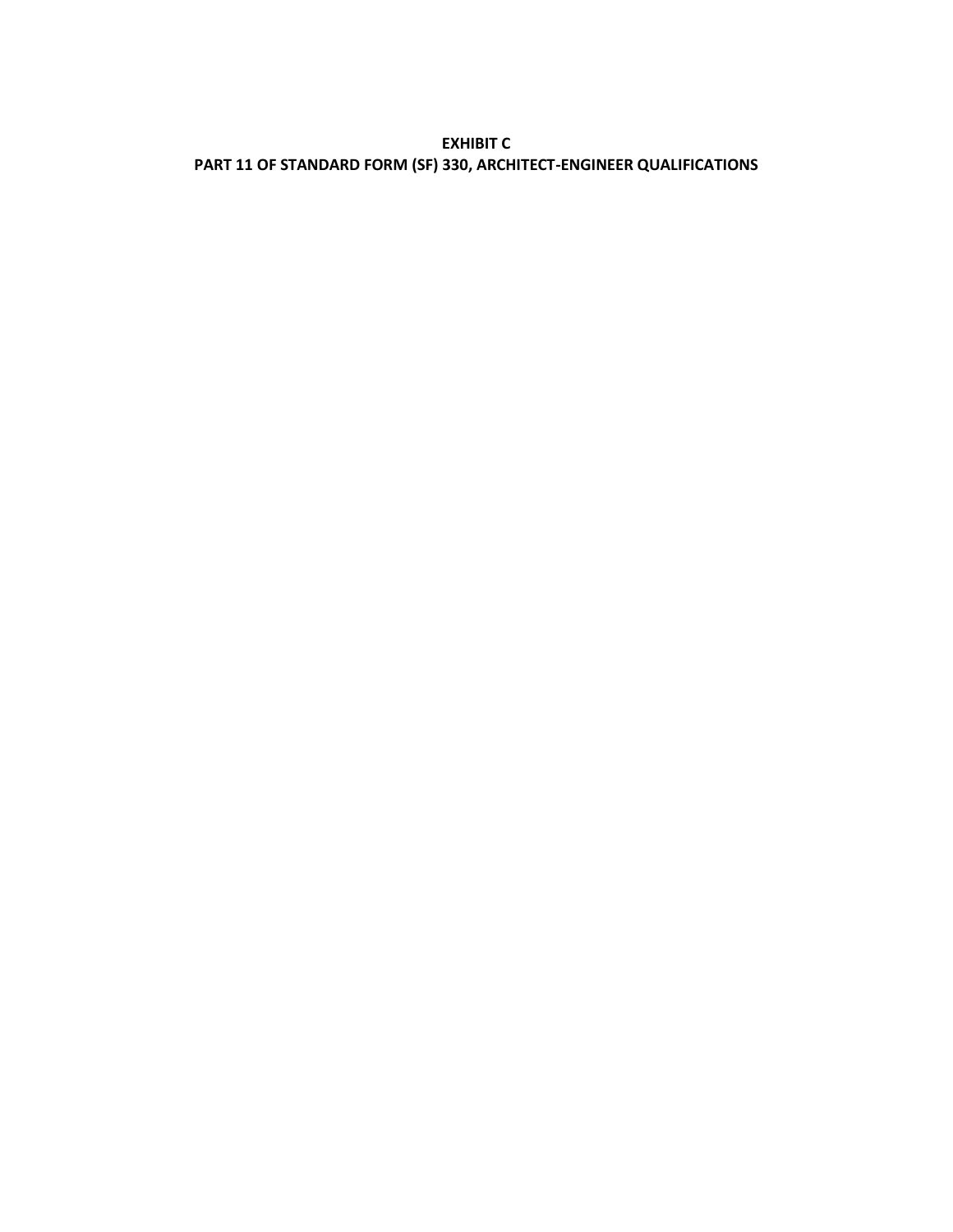# **EXHIBIT C PART 11 OF STANDARD FORM (SF) 330, ARCHITECT-ENGINEER QUALIFICATIONS**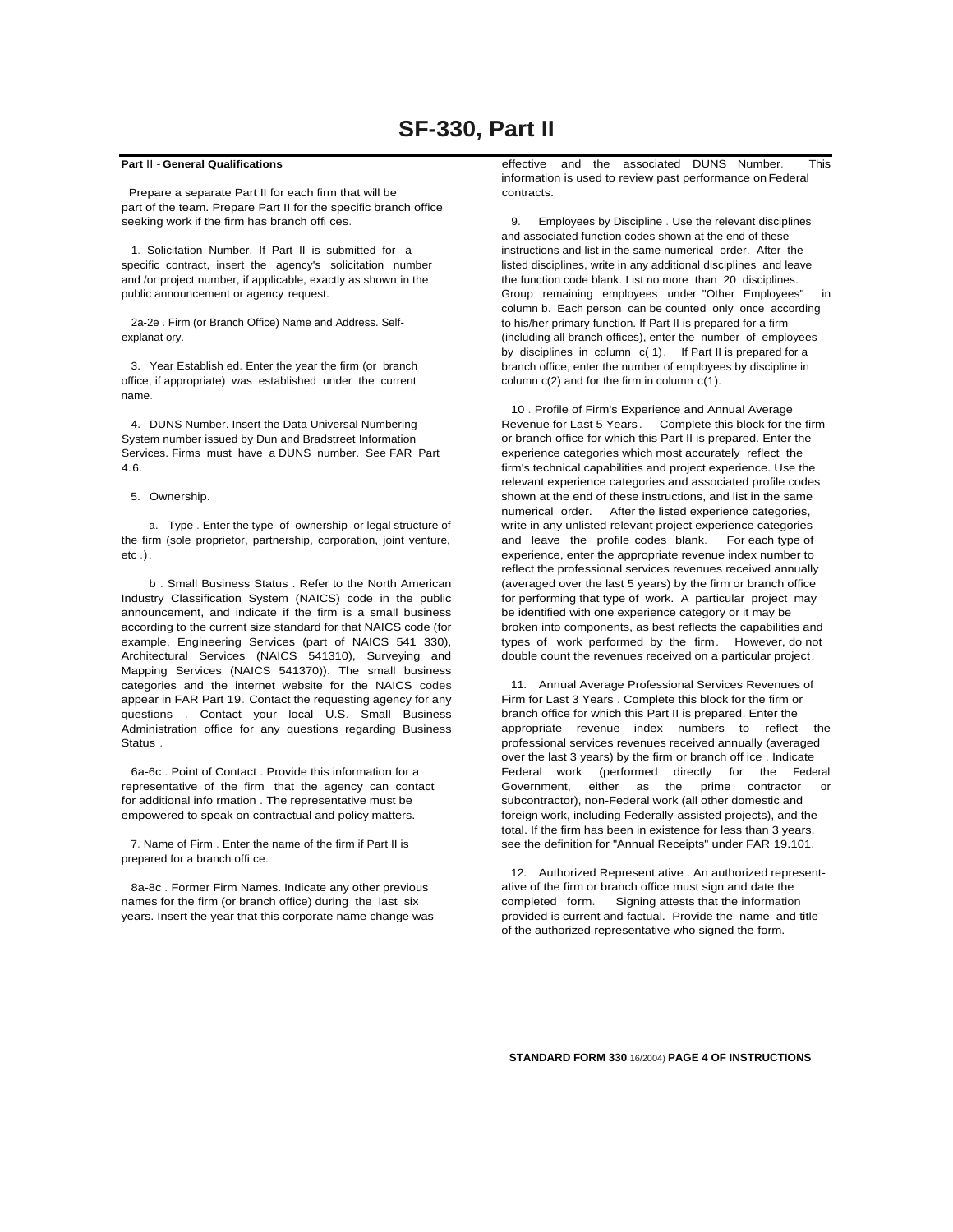Prepare a separate Part II for each firm that will be part of the team. Prepare Part II for the specific branch office seeking work if the firm has branch offi ces.

1. Solicitation Number. If Part II is submitted for a specific contract, insert the agency's solicitation number and /or project number, if applicable, exactly as shown in the public announcement or agency request.

2a-2e . Firm (or Branch Office) Name and Address. Selfexplanat ory.

3. Year Establish ed. Enter the year the firm (or branch office, if appropriate) was established under the current name.

4. DUNS Number. Insert the Data Universal Numbering System number issued by Dun and Bradstreet Information Services. Firms must have a DUNS number. See FAR Part 4.6.

#### 5. Ownership.

a. Type . Enter the type of ownership or legal structure of the firm (sole proprietor, partnership, corporation, joint venture, etc .).

b . Small Business Status . Refer to the North American Industry Classification System (NAICS) code in the public announcement, and indicate if the firm is a small business according to the current size standard for that NAICS code (for example, Engineering Services (part of NAICS 541 330), Architectural Services (NAICS 541310), Surveying and Mapping Services (NAICS 541370)). The small business categories and the internet website for the NAICS codes example, Engineering Services (part of NAICS 541 330), Architectural Services (NAICS 541310), Surveying and Mapping Services (NAICS 541370)). The small business categories and the internet website for the NAICS codes appea questions . Contact your local U.S. Small Business Administration office for any questions regarding Business Status .

6a-6c . Point of Contact . Provide this information for a representative of the firm that the agency can contact for additional info rmation . The representative must be empowered to speak on contractual and policy matters.

7. Name of Firm . Enter the name of the firm if Part II is prepared for a branch offi ce.

8a-8c . Former Firm Names. Indicate any other previous names for the firm (or branch office) during the last six years. Insert the year that this corporate name change was

**Part II - General Qualifications** effective and the associated DUNS Number. This information is used to review past performance on Federal contracts.

> 9. Employees by Discipline . Use the relevant disciplines and associated function codes shown at the end of these instructions and list in the same numerical order. After the listed disciplines, write in any additional disciplines and leave the function code blank. List no more than 20 disciplines. Group remaining employees under "Other Employees" column b. Each person can be counted only once according to his/her primary function. If Part II is prepared for a firm (including all branch offices), enter the number of employees by disciplines in column c( 1). If Part II is prepared for a branch office, enter the number of employees by discipline in column  $c(2)$  and for the firm in column  $c(1)$ .

10 . Profile of Firm's Experience and Annual Average Revenue for Last 5 Years . Complete this block for the firm or branch office for which this Part II is prepared. Enter the experience categories which most accurately reflect the firm's technical capabilities and project experience. Use the relevant experience categories and associated profile codes shown at the end of these instructions, and list in the same numerical order. After the listed experience categories, write in any unlisted relevant project experience categories and leave the profile codes blank. For each type of experience, enter the appropriate revenue index number to reflect the professional services revenues received annually (averaged over the last 5 years) by the firm or branch office for performing that type of work. A particular project may be identified with one experience category or it may be broken into components, as best reflects the capabilities and types of work performed by the firm. However, do not double count the revenues received on a particular project.

11. Annual Average Professional Services Revenues of Firm for Last 3 Years . Complete this block for the firm or branch office for which this Part II is prepared. Enter the appropriate revenue index numbers to reflect the professional services revenues received annually (averaged over the last 3 years) by the firm or branch off ice . Indicate Federal work (performed directly for the Federal Government, either as the prime contractor subcontractor), non-Federal work (all other domestic and foreign work, including Federally-assisted projects), and the total. If the firm has been in existence for less than 3 years, see the definition for "Annual Receipts" under FAR 19.101.

12. Authorized Represent ative . An authorized representative of the firm or branch office must sign and date the completed form. Signing attests that the information provided is current and factual. Provide the name and title of the authorized representative who signed the form.

**STANDARD FORM 330** 16/2004) **PAGE 4 OF INSTRUCTIONS**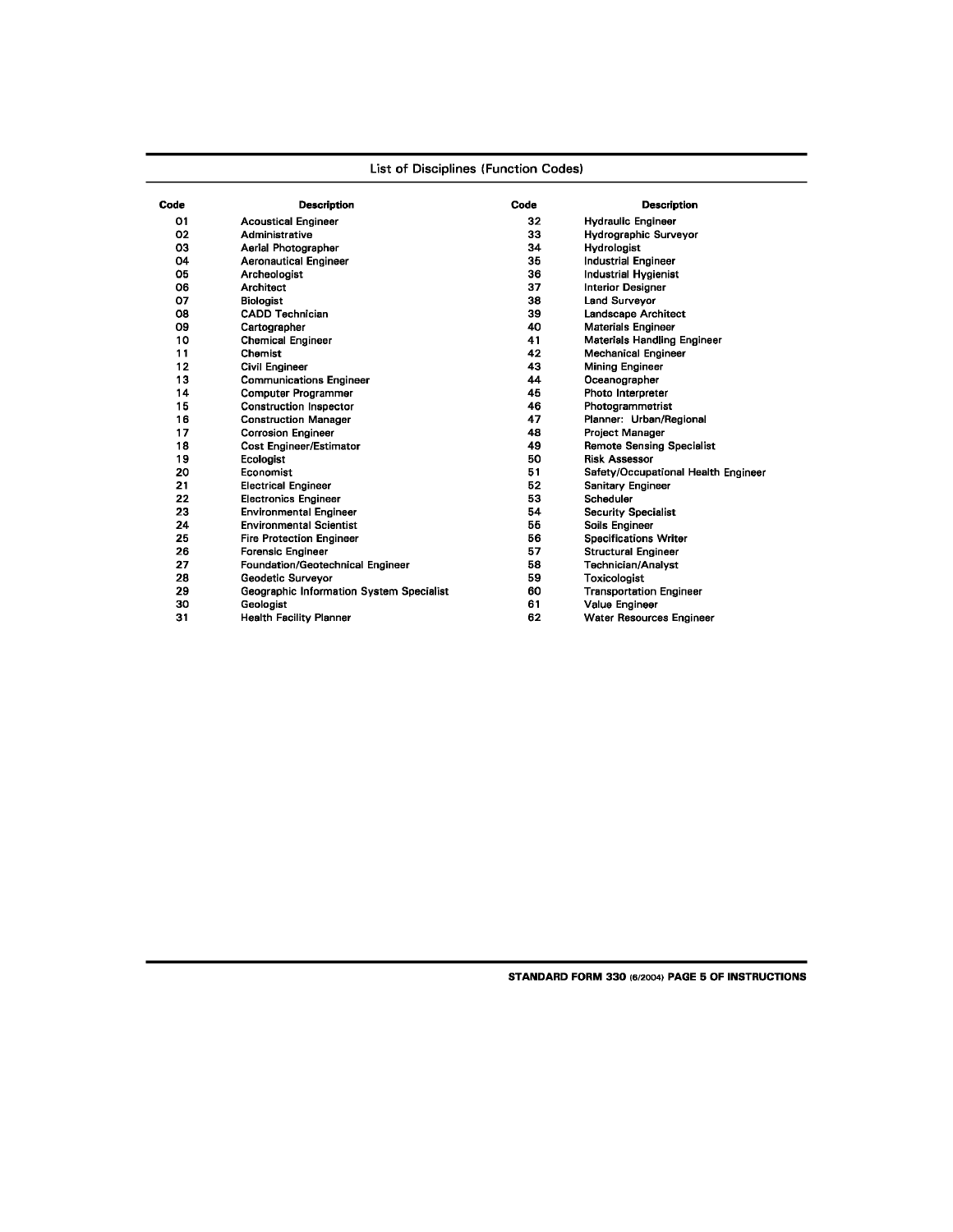| List of Disciplines (Function Codes) |                                          |      |                                     |  |  |
|--------------------------------------|------------------------------------------|------|-------------------------------------|--|--|
| Code                                 | <b>Description</b>                       | Code | <b>Description</b>                  |  |  |
| 01                                   | <b>Acoustical Engineer</b>               | 32   | <b>Hydraulic Engineer</b>           |  |  |
| 02                                   | Administrative                           | 33   | <b>Hydrographic Surveyor</b>        |  |  |
| 03                                   | Aerial Photographer                      | 34   | <b>Hydrologist</b>                  |  |  |
| 04                                   | <b>Aeronautical Engineer</b>             | 35   | <b>Industrial Engineer</b>          |  |  |
| 05                                   | Archeologist                             | 36   | <b>Industrial Hygienist</b>         |  |  |
| 06                                   | Architect                                | 37   | <b>Interior Designer</b>            |  |  |
| 07                                   | <b>Biologist</b>                         | 38   | Land Surveyor                       |  |  |
| 08                                   | <b>CADD Technician</b>                   | 39   | <b>Landscape Architect</b>          |  |  |
| 09                                   | Cartographer                             | 40   | <b>Materials Engineer</b>           |  |  |
| 10                                   | <b>Chemical Engineer</b>                 | 41   | Materials Handling Engineer         |  |  |
| 11                                   | Chemist                                  | 42   | Mechanical Engineer                 |  |  |
| 12                                   | Civil Engineer                           | 43   | <b>Mining Engineer</b>              |  |  |
| 13                                   | <b>Communications Engineer</b>           | 44   | Oceanographer                       |  |  |
| 14                                   | <b>Computer Programmer</b>               | 45   | Photo Interpreter                   |  |  |
| 15                                   | <b>Construction Inspector</b>            | 46   | Photogrammetrist                    |  |  |
| 16                                   | <b>Construction Manager</b>              | 47   | Planner: Urban/Regional             |  |  |
| 17                                   | <b>Corrosion Engineer</b>                | 48   | Project Manager                     |  |  |
| 18                                   | Cost Engineer/Estimator                  | 49   | <b>Remote Sensing Specialist</b>    |  |  |
| 19                                   | Ecologist                                | 50   | <b>Risk Assessor</b>                |  |  |
| 20                                   | Economist                                | 51   | Safety/Occupational Health Engineer |  |  |
| 21                                   | <b>Electrical Engineer</b>               | 52   | <b>Sanitary Engineer</b>            |  |  |
| 22                                   | <b>Electronics Engineer</b>              | 53   | Scheduler                           |  |  |
| 23                                   | <b>Environmental Engineer</b>            | 54   | <b>Security Specialist</b>          |  |  |
| 24                                   | <b>Environmental Scientist</b>           | 55   | Soils Engineer                      |  |  |
| 25                                   | <b>Fire Protection Engineer</b>          | 56   | <b>Specifications Writer</b>        |  |  |
| 26                                   | Forensic Engineer                        | 57   | <b>Structural Engineer</b>          |  |  |
| 27                                   | <b>Foundation/Geotechnical Engineer</b>  | 58   | Technician/Analyst                  |  |  |
| 28                                   | Geodetic Surveyor                        | 59   | Toxicologist                        |  |  |
| 29                                   | Geographic Information System Specialist | 60   | <b>Transportation Engineer</b>      |  |  |
| 30                                   | Geologist                                | 61   | Value Engineer                      |  |  |
| 31                                   | <b>Health Facility Planner</b>           | 62   | <b>Water Resources Engineer</b>     |  |  |

STANDARD FORM 330 (6/2004) PAGE 5 OF INSTRUCTIONS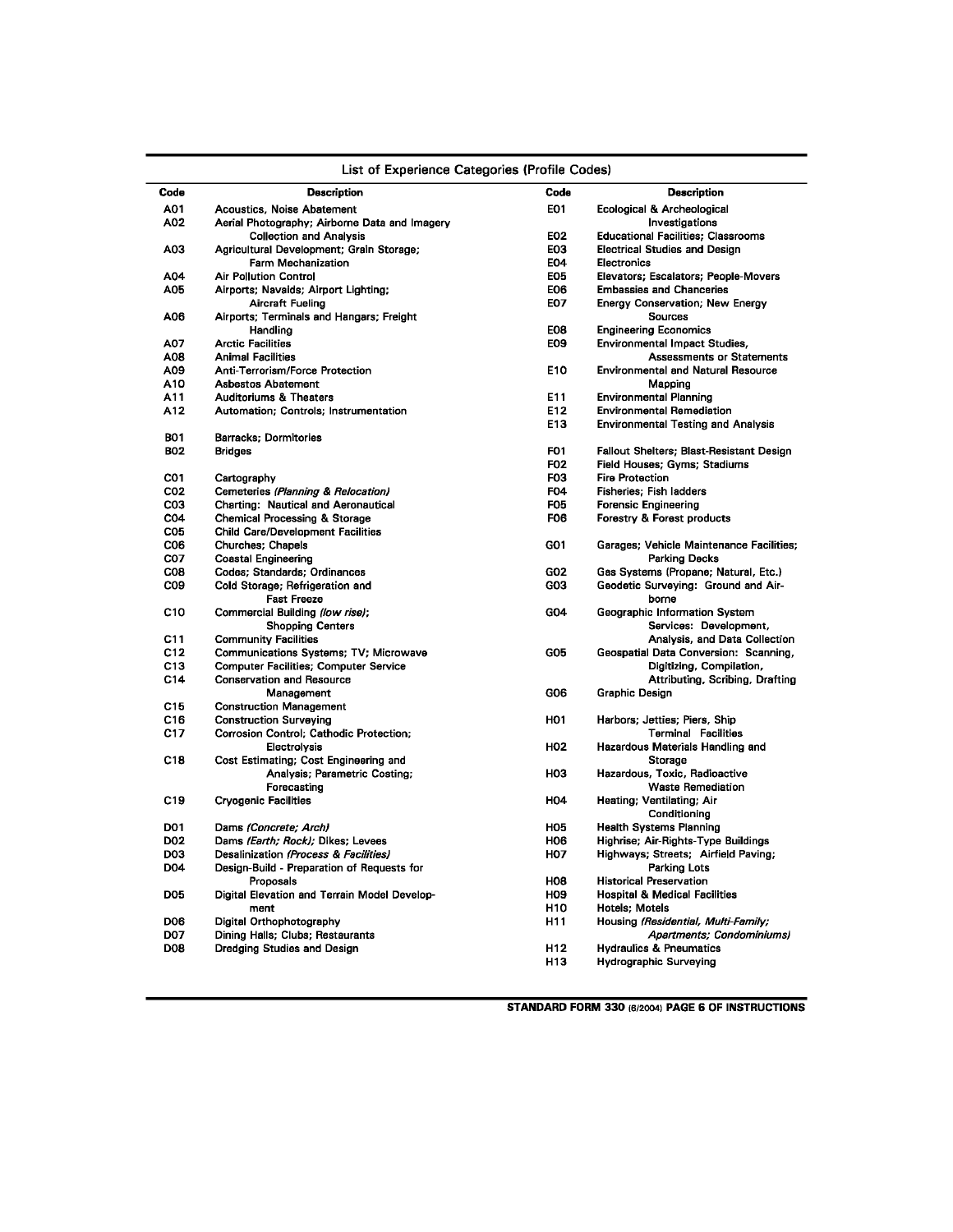| Code            | <b>Description</b>                                         | Code             | <b>Description</b>                                             |
|-----------------|------------------------------------------------------------|------------------|----------------------------------------------------------------|
| A01             | Acoustics, Noise Abatement                                 | EO1              | Ecological & Archeological                                     |
| A02             | Aerial Photography; Airborne Data and Imagery              |                  | Investigations                                                 |
|                 | <b>Collection and Analysis</b>                             | EO <sub>2</sub>  | <b>Educational Facilities; Classrooms</b>                      |
| A03             | Agricultural Development; Grain Storage;                   | EO3              | <b>Electrical Studies and Design</b>                           |
|                 | Farm Mechanization                                         | E04              | Electronics                                                    |
| A04             | <b>Air Pollution Control</b>                               | EO <sub>5</sub>  | Elevators; Escalators; People-Movers                           |
| A05             | Airports, Navaids, Airport Lighting,                       | EO6              | <b>Embassies and Chanceries</b>                                |
|                 | Aircraft Fueling                                           | EO7              | Energy Conservation; New Energy                                |
| A06             | Airports; Terminals and Hangars; Freight                   |                  | <b>Sources</b>                                                 |
|                 | Handling                                                   | EO8              | <b>Engineering Economics</b>                                   |
| A07             | <b>Arctic Facilities</b>                                   | EO9              | Environmental Impact Studies,                                  |
| A08             | <b>Animal Facilities</b>                                   |                  | <b>Assessments or Statements</b>                               |
| A09             | Anti-Terrorism/Force Protection                            | E <sub>10</sub>  | <b>Environmental and Natural Resource</b>                      |
| A10             | <b>Asbestos Abatement</b>                                  |                  | Mapping                                                        |
| A11             | <b>Auditoriums &amp; Theaters</b>                          | E11              | <b>Environmental Planning</b>                                  |
| A12             | Automation; Controls; Instrumentation                      | E12              | <b>Environmental Remediation</b>                               |
|                 |                                                            | E13              | <b>Environmental Testing and Analysis</b>                      |
| <b>BO1</b>      | <b>Barracks: Dormitories</b>                               |                  |                                                                |
| <b>BO2</b>      | <b>Bridges</b>                                             | FO <sub>1</sub>  | Fallout Shelters; Blast-Resistant Design                       |
|                 |                                                            | F <sub>02</sub>  | Field Houses; Gyms; Stadiums                                   |
| CO1             | Cartography                                                | FO <sub>3</sub>  | <b>Fire Protection</b>                                         |
| CO <sub>2</sub> | Cemeteries (Planning & Relocation)                         | F04              | Fisheries: Fish ladders                                        |
| CO <sub>3</sub> | Charting: Nautical and Aeronautical                        | F <sub>0</sub> 5 | Forensic Engineering                                           |
| CO <sub>4</sub> | Chemical Processing & Storage                              | F06              | Forestry & Forest products                                     |
| CO5             | <b>Child Care/Development Facilities</b>                   |                  |                                                                |
| CO6             | Churches; Chapels                                          | GO1              | Garages; Vehicle Maintenance Facilities;                       |
| CO7             | Coastal Engineering                                        |                  | <b>Parking Decks</b>                                           |
| CO8             | Codes: Standards: Ordinances                               | GO2              | Gas Systems (Propane; Natural, Etc.)                           |
| CO <sub>9</sub> | Cold Storage; Refrigeration and<br><b>Fast Freeze</b>      | GO3              | Geodetic Surveying: Ground and Air-<br>borne                   |
| C <sub>10</sub> | Commercial Building (low rise);<br><b>Shopping Centers</b> | G04              | <b>Geographic Information System</b><br>Services: Development, |
| C11             | <b>Community Facilities</b>                                |                  | Analysis, and Data Collection                                  |
| C12             | Communications Systems; TV; Microwave                      | G05              | Geospatial Data Conversion: Scanning,                          |
| C13             | <b>Computer Facilities; Computer Service</b>               |                  | Digitizing, Compilation,                                       |
| C14             | <b>Conservation and Resource</b>                           |                  | Attributing, Scribing, Drafting                                |
|                 | Management                                                 | GO6              | <b>Graphic Design</b>                                          |
| C15             | <b>Construction Management</b>                             |                  |                                                                |
| C16             | <b>Construction Surveying</b>                              | H01              | Harbors; Jetties; Piers, Ship                                  |
| C17             | <b>Corrosion Control; Cathodic Protection;</b>             |                  | <b>Terminal Facilities</b>                                     |
|                 | <b>Electrolysis</b>                                        | <b>HO2</b>       | Hazardous Materials Handling and                               |
| C18             | Cost Estimating; Cost Engineering and                      |                  | Storage                                                        |
|                 | Analysis; Parametric Costing;                              | HO <sub>3</sub>  | Hazardous, Toxic, Radioactive                                  |
|                 | Forecasting                                                |                  | <b>Waste Remediation</b>                                       |
| C19             | <b>Cryogenic Facilities</b>                                | H <sub>04</sub>  | Heating; Ventilating; Air<br>Conditioning                      |
| DO 1            | Dams (Concrete; Arch)                                      | <b>HO5</b>       | <b>Health Systems Planning</b>                                 |
| D02             | Dams (Earth; Rock); Dikes; Levees                          | H06              | Highrise; Air-Rights-Type Buildings                            |
| DO3             | Desalinization (Process & Facilities)                      | H07              | Highways; Streets; Airfield Paving;                            |
| D04             | Design-Build - Preparation of Requests for                 |                  | Parking Lots                                                   |
|                 | Proposals                                                  | 80H              | <b>Historical Preservation</b>                                 |
| DO5             | Digital Elevation and Terrain Model Develop-               | H09              | <b>Hospital &amp; Medical Facilities</b>                       |
|                 | ment                                                       | H10              | <b>Hotels, Motels</b>                                          |
| DO6             | Digital Orthophotography                                   | H11              | Housing (Residential, Multi-Family;                            |
| DO7             | Dining Halls; Clubs; Restaurants                           |                  | Apartments: Condominiums)                                      |
| BOQ             | Dredging Studies and Design                                | H12              | <b>Hydraulics &amp; Pneumatics</b>                             |
|                 |                                                            |                  |                                                                |

STANDARD FORM 330 (6/2004) PAGE 6 OF INSTRUCTIONS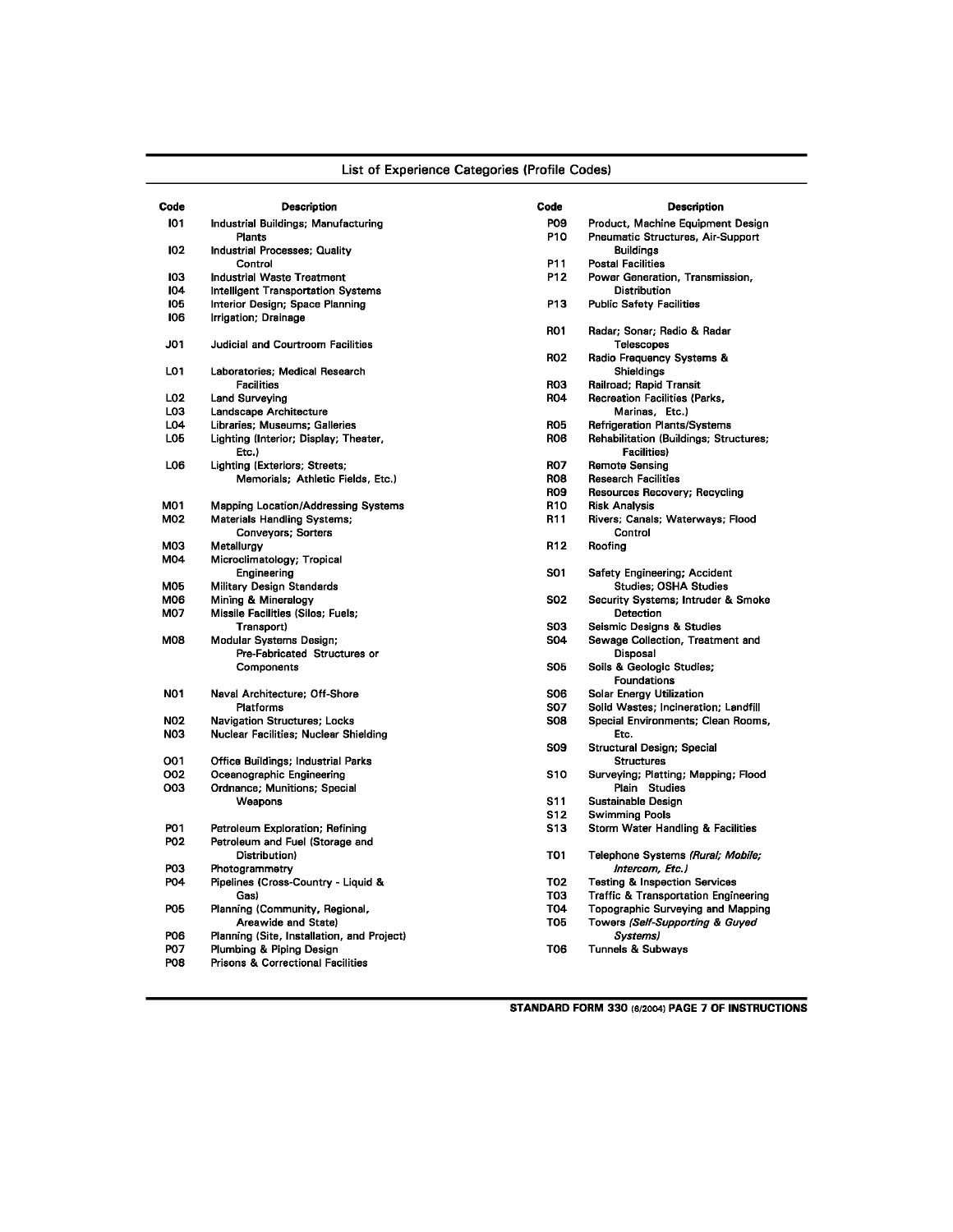| Code            | Description                                                               | Code                          | Description                                     |
|-----------------|---------------------------------------------------------------------------|-------------------------------|-------------------------------------------------|
| 101             | Industrial Buildings; Manufacturing                                       | PO <sub>9</sub>               | Product, Machine Equipment Design               |
|                 | <b>Plants</b>                                                             | P10                           | Pneumatic Structures, Air-Support               |
| 102             | <b>Industrial Processes; Quality</b>                                      |                               | <b>Buildings</b>                                |
|                 | Control                                                                   | P11                           | <b>Postal Facilities</b>                        |
| 103             | <b>Industrial Waste Treatment</b>                                         | P12                           | Power Generation, Transmission,                 |
| 104             | Intelligent Transportation Systems                                        |                               | Distribution                                    |
| 105             | Interior Design; Space Planning                                           | P13                           | <b>Public Safety Facilities</b>                 |
| 106             | Irrigation; Drainage                                                      |                               |                                                 |
|                 |                                                                           | RO1                           | Radar; Sonar; Radio & Radar                     |
| <b>JO1</b>      | Judicial and Courtroom Facilities                                         |                               | <b>Telescopes</b>                               |
|                 |                                                                           | <b>RO2</b>                    | Radio Frequency Systems &                       |
| L01             | Laboratories; Medical Research                                            |                               | Shieldings                                      |
|                 | <b>Facilities</b>                                                         | RO3                           | Railroad; Rapid Transit                         |
| LO <sub>2</sub> | Land Surveying                                                            | <b>RO4</b>                    | Recreation Facilities (Parks,                   |
| LO3             | Landscape Architecture                                                    |                               | Marinas, Etc.)                                  |
| LO4<br>LO5      | Libraries; Museums; Galleries                                             | <b>RO5</b><br>RO <sub>6</sub> | <b>Refrigeration Plants/Systems</b>             |
|                 | Lighting (Interior; Display; Theater,                                     |                               | Rehabilitation (Buildings; Structures;          |
| LO6             | Etc.)                                                                     | <b>RO7</b>                    | <b>Facilities</b> )                             |
|                 | Lighting (Exteriors; Streets;                                             | RO <sub>8</sub>               | <b>Remote Sensing</b>                           |
|                 | Memorials; Athletic Fields, Etc.)                                         | <b>RO9</b>                    | <b>Research Facilities</b>                      |
| MO1             |                                                                           | R <sub>10</sub>               | Resources Recovery; Recycling                   |
| <b>MO2</b>      | Mapping Location/Addressing Systems<br><b>Materials Handling Systems;</b> | <b>R11</b>                    | <b>Risk Analysis</b>                            |
|                 |                                                                           |                               | Rivers; Canals; Waterways; Flood<br>Control     |
| <b>MO3</b>      | <b>Conveyors; Sorters</b>                                                 | R12                           | Roofing                                         |
| MO4             | Metallurgy<br>Microclimatology; Tropical                                  |                               |                                                 |
|                 | Engineering                                                               | <b>SO1</b>                    | Safety Engineering; Accident                    |
| MO <sub>5</sub> |                                                                           |                               | <b>Studies; OSHA Studies</b>                    |
| MO6             | <b>Military Design Standards</b><br>Mining & Mineralogy                   | S02                           | Security Systems; Intruder & Smoke              |
| <b>MO7</b>      | Missile Facilities (Silos; Fuels;                                         |                               | Detection                                       |
|                 | Transport)                                                                | SO3                           | Seismic Designs & Studies                       |
| MO8             | Modular Systems Design;                                                   | S04                           | Sewage Collection, Treatment and                |
|                 | Pre-Fabricated Structures or                                              |                               | Disposal                                        |
|                 | Components                                                                | S05                           | Soils & Geologic Studies;                       |
|                 |                                                                           |                               | <b>Foundations</b>                              |
| <b>NO1</b>      | Naval Architecture; Off-Shore                                             | <b>SO6</b>                    | <b>Solar Energy Utilization</b>                 |
|                 | Platforms                                                                 | S07                           | Solid Wastes; Incineration; Landfill            |
| NO2             | <b>Navigation Structures; Locks</b>                                       | <b>SO8</b>                    | Special Environments; Clean Rooms,              |
| <b>NO3</b>      | Nuclear Facilities; Nuclear Shielding                                     |                               | Etc.                                            |
|                 |                                                                           | S09                           | Structural Design; Special                      |
| 001             | Office Buildings; Industrial Parks                                        |                               | <b>Structures</b>                               |
| 002             | Oceanographic Engineering                                                 | S <sub>10</sub>               | Surveying; Platting; Mapping; Flood             |
| ооз             | Ordnance; Munitions; Special                                              |                               | <b>Plain</b> Studies                            |
|                 | Weapons                                                                   | S <sub>11</sub>               | Sustainable Design                              |
|                 |                                                                           | S <sub>12</sub>               | <b>Swimming Pools</b>                           |
| PO <sub>1</sub> | Petroleum Exploration: Refining                                           | S <sub>13</sub>               | Storm Water Handling & Facilities               |
| PO <sub>2</sub> | Petroleum and Fuel (Storage and                                           |                               |                                                 |
|                 | Distribution)                                                             | T01                           | Telephone Systems (Rural; Mobile;               |
| PO3             | Photogrammetry                                                            |                               | Intercom, Etc.)                                 |
| PO <sub>4</sub> | Pipelines (Cross-Country - Liquid &                                       | TO2                           | <b>Testing &amp; Inspection Services</b>        |
|                 | Gas)                                                                      | T <sub>03</sub>               | <b>Traffic &amp; Transportation Engineering</b> |
| PO <sub>5</sub> | Planning (Community, Regional,                                            | T04                           | Topographic Surveying and Mapping               |
|                 |                                                                           | TO <sub>5</sub>               |                                                 |
|                 | Areawide and State)                                                       |                               | Towers (Self-Supporting & Guyed                 |
| PO6             | Planning (Site, Installation, and Project)                                |                               | Systems)                                        |
| PO <sub>7</sub> | Plumbing & Piping Design                                                  | <b>T06</b>                    | Tunnels & Subways                               |

STANDARD FORM 330 (6/2004) PAGE 7 OF INSTRUCTIONS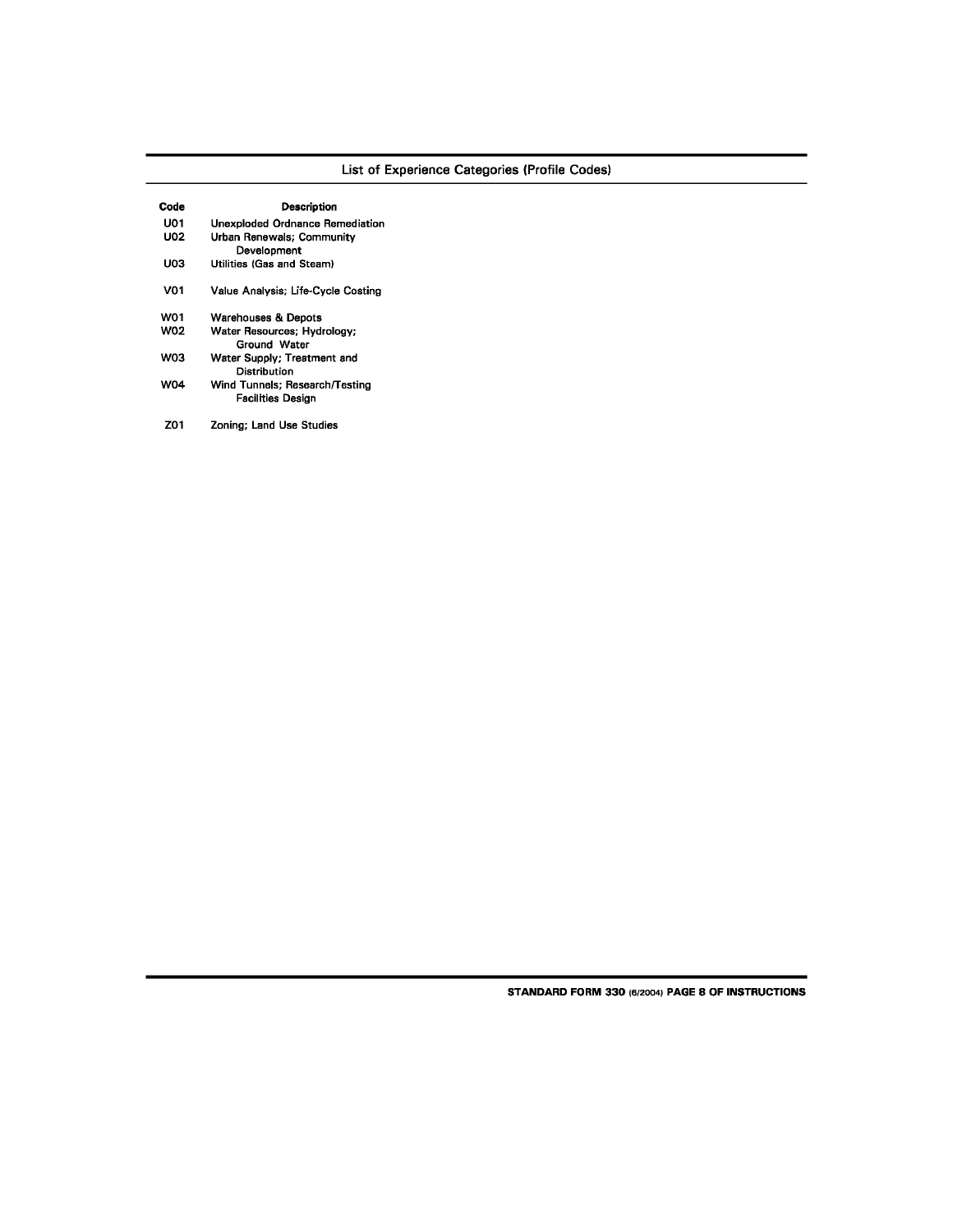| List of Experience Categories (Profile Codes) |                                                            |  |  |  |
|-----------------------------------------------|------------------------------------------------------------|--|--|--|
| Code                                          | <b>Description</b>                                         |  |  |  |
| UO1                                           | Unexploded Ordnance Remediation                            |  |  |  |
| <b>U02</b>                                    | Urban Renewals; Community<br>Development                   |  |  |  |
| U03                                           | Utilities (Gas and Steam)                                  |  |  |  |
| VO1.                                          | Value Analysis; Life-Cycle Costing                         |  |  |  |
| WO1                                           | Warehouses & Depots                                        |  |  |  |
| WO2                                           | Water Resources: Hydrology;<br>Ground Water                |  |  |  |
| WO3                                           | Water Supply; Treatment and<br><b>Distribution</b>         |  |  |  |
| WO4                                           | Wind Tunnels; Research/Testing<br><b>Facilities Design</b> |  |  |  |

**ZO1** Zoning; Land Use Studies

STANDARD FORM 330 (6/2004) PAGE 8 OF INSTRUCTIONS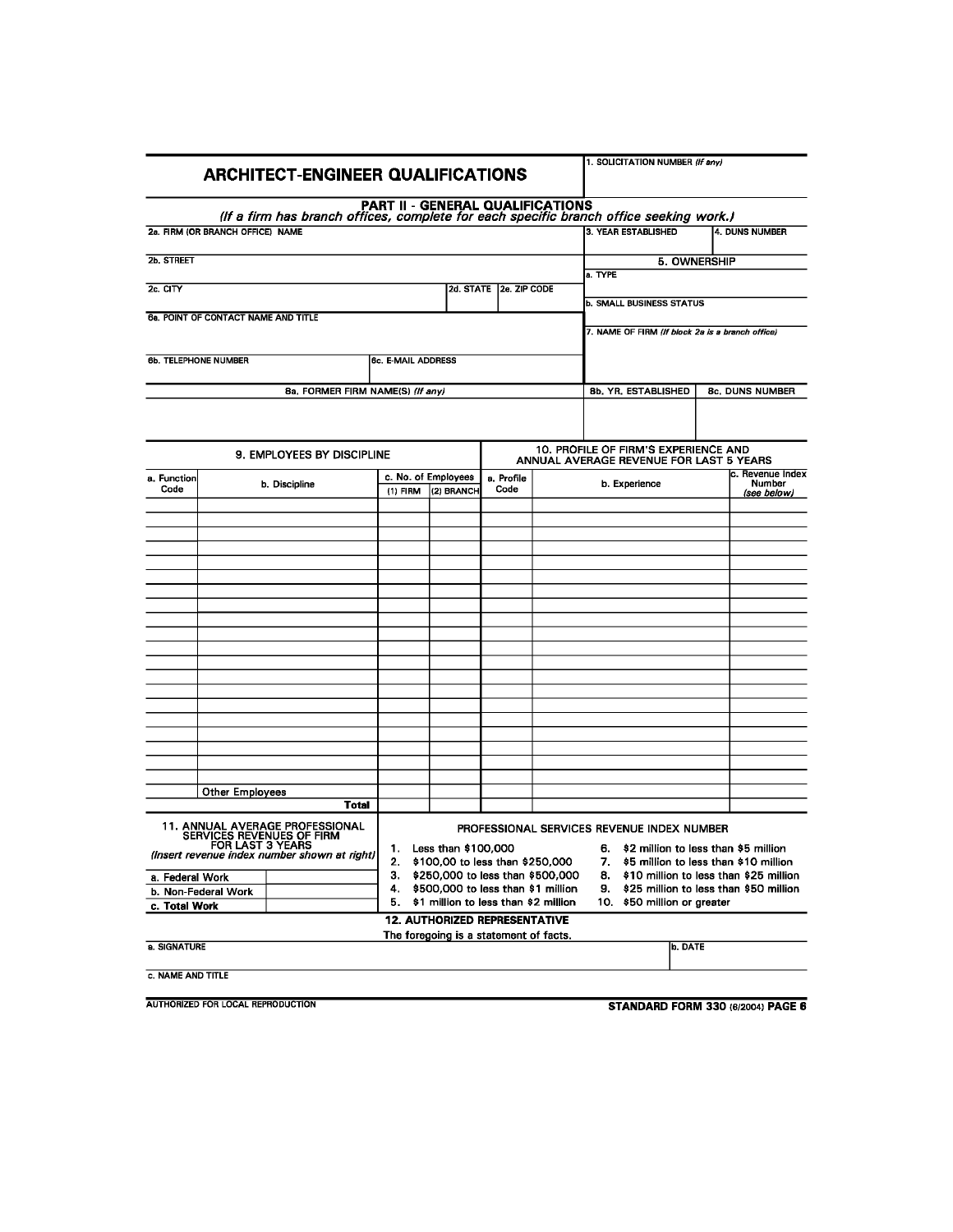| <b>ARCHITECT-ENGINEER QUALIFICATIONS</b> |                                         |                                                                                                                     |                      |                                                                                                                                                                             |                        | 1. SOLICITATION NUMBER (If any) |                       |                                                                                                                                                                                                     |                                            |
|------------------------------------------|-----------------------------------------|---------------------------------------------------------------------------------------------------------------------|----------------------|-----------------------------------------------------------------------------------------------------------------------------------------------------------------------------|------------------------|---------------------------------|-----------------------|-----------------------------------------------------------------------------------------------------------------------------------------------------------------------------------------------------|--------------------------------------------|
|                                          |                                         | (If a firm has branch offices, complete for each specific branch office seeking work.)                              |                      | <b>PART II - GENERAL QUALIFICATIONS</b>                                                                                                                                     |                        |                                 |                       |                                                                                                                                                                                                     |                                            |
|                                          | 2a. FIRM (OR BRANCH OFFICE) NAME        |                                                                                                                     |                      |                                                                                                                                                                             |                        |                                 |                       | 3. YEAR ESTABLISHED                                                                                                                                                                                 | 4. DUNS NUMBER                             |
| 2b. STREET                               |                                         |                                                                                                                     |                      |                                                                                                                                                                             |                        |                                 |                       | 5. OWNERSHIP                                                                                                                                                                                        |                                            |
| 2c. CITY                                 |                                         |                                                                                                                     |                      |                                                                                                                                                                             | 2d. STATE 2e. ZIP CODE |                                 | a. TYPE               |                                                                                                                                                                                                     |                                            |
|                                          |                                         |                                                                                                                     |                      |                                                                                                                                                                             |                        |                                 |                       | <b>b. SMALL BUSINESS STATUS</b>                                                                                                                                                                     |                                            |
|                                          | 6a. POINT OF CONTACT NAME AND TITLE     |                                                                                                                     |                      |                                                                                                                                                                             |                        |                                 |                       | 7. NAME OF FIRM (If block 2a is a branch office)                                                                                                                                                    |                                            |
|                                          | 6b. TELEPHONE NUMBER                    |                                                                                                                     | 6c. E-MAIL ADDRESS   |                                                                                                                                                                             |                        |                                 |                       |                                                                                                                                                                                                     |                                            |
|                                          |                                         | 8a, FORMER FIRM NAME(S) (If any)                                                                                    |                      |                                                                                                                                                                             |                        |                                 |                       | 8b, YR, ESTABLISHED                                                                                                                                                                                 | <b>8c. DUNS NUMBER</b>                     |
|                                          |                                         |                                                                                                                     |                      |                                                                                                                                                                             |                        |                                 |                       | 10. PROFILE OF FIRM'S EXPERIENCE AND                                                                                                                                                                |                                            |
|                                          |                                         | 9. EMPLOYEES BY DISCIPLINE                                                                                          |                      |                                                                                                                                                                             |                        |                                 |                       | ANNUAL AVERAGE REVENUE FOR LAST 5 YEARS                                                                                                                                                             |                                            |
| a. Function<br>Code                      |                                         | b. Discipline                                                                                                       | $(1)$ FIRM           | c. No. of Employees<br>(2) BRANCH                                                                                                                                           | a. Profile<br>Code     |                                 |                       | b. Experience                                                                                                                                                                                       | lc. Revenue Index<br>Number<br>(see below) |
|                                          |                                         |                                                                                                                     |                      |                                                                                                                                                                             |                        |                                 |                       |                                                                                                                                                                                                     |                                            |
|                                          |                                         |                                                                                                                     |                      |                                                                                                                                                                             |                        |                                 |                       |                                                                                                                                                                                                     |                                            |
|                                          |                                         |                                                                                                                     |                      |                                                                                                                                                                             |                        |                                 |                       |                                                                                                                                                                                                     |                                            |
|                                          |                                         |                                                                                                                     |                      |                                                                                                                                                                             |                        |                                 |                       |                                                                                                                                                                                                     |                                            |
|                                          |                                         |                                                                                                                     |                      |                                                                                                                                                                             |                        |                                 |                       |                                                                                                                                                                                                     |                                            |
|                                          |                                         |                                                                                                                     |                      |                                                                                                                                                                             |                        |                                 |                       |                                                                                                                                                                                                     |                                            |
|                                          |                                         |                                                                                                                     |                      |                                                                                                                                                                             |                        |                                 |                       |                                                                                                                                                                                                     |                                            |
|                                          |                                         |                                                                                                                     |                      |                                                                                                                                                                             |                        |                                 |                       |                                                                                                                                                                                                     |                                            |
|                                          |                                         |                                                                                                                     |                      |                                                                                                                                                                             |                        |                                 |                       |                                                                                                                                                                                                     |                                            |
|                                          |                                         |                                                                                                                     |                      |                                                                                                                                                                             |                        |                                 |                       |                                                                                                                                                                                                     |                                            |
|                                          |                                         |                                                                                                                     |                      |                                                                                                                                                                             |                        |                                 |                       |                                                                                                                                                                                                     |                                            |
|                                          |                                         |                                                                                                                     |                      |                                                                                                                                                                             |                        |                                 |                       |                                                                                                                                                                                                     |                                            |
|                                          |                                         |                                                                                                                     |                      |                                                                                                                                                                             |                        |                                 |                       |                                                                                                                                                                                                     |                                            |
|                                          |                                         |                                                                                                                     |                      |                                                                                                                                                                             |                        |                                 |                       |                                                                                                                                                                                                     |                                            |
|                                          | <b>Other Employees</b>                  | Total                                                                                                               |                      |                                                                                                                                                                             |                        |                                 |                       |                                                                                                                                                                                                     |                                            |
| a. Federal Work<br>c. Total Work         | FOR LAST 3 YEARS<br>b. Non-Federal Work | <b>11. ANNUAL AVERAGE PROFESSIONAL</b><br>SERVICES REVENUES OF FIRM<br>(Insert revenue index number shown at right) | 2.<br>З.<br>4.<br>5. | 1. Less than \$100,000<br>\$100,00 to less than \$250,000<br>\$250,000 to less than \$500,000<br>\$500,000 to less than \$1 million<br>\$1 million to less than \$2 million |                        |                                 | 7.<br>8.<br>9.<br>10. | PROFESSIONAL SERVICES REVENUE INDEX NUMBER<br>6. \$2 million to less than \$5 million<br>\$5 million to less than \$10 million<br>\$25 million to less than \$50 million<br>\$50 million or greater | \$10 million to less than \$25 million     |
|                                          |                                         |                                                                                                                     |                      | <b>12. AUTHORIZED REPRESENTATIVE</b>                                                                                                                                        |                        |                                 |                       |                                                                                                                                                                                                     |                                            |
| a. SIGNATURE                             |                                         |                                                                                                                     |                      | The foregoing is a statement of facts.                                                                                                                                      |                        |                                 |                       | b. DATE                                                                                                                                                                                             |                                            |
|                                          |                                         |                                                                                                                     |                      |                                                                                                                                                                             |                        |                                 |                       |                                                                                                                                                                                                     |                                            |
| c. NAME AND TITLE                        |                                         |                                                                                                                     |                      |                                                                                                                                                                             |                        |                                 |                       |                                                                                                                                                                                                     |                                            |

AUTHORIZED FOR LOCAL REPRODUCTION

**STANDARD FORM 330 (6/2004) PAGE 6**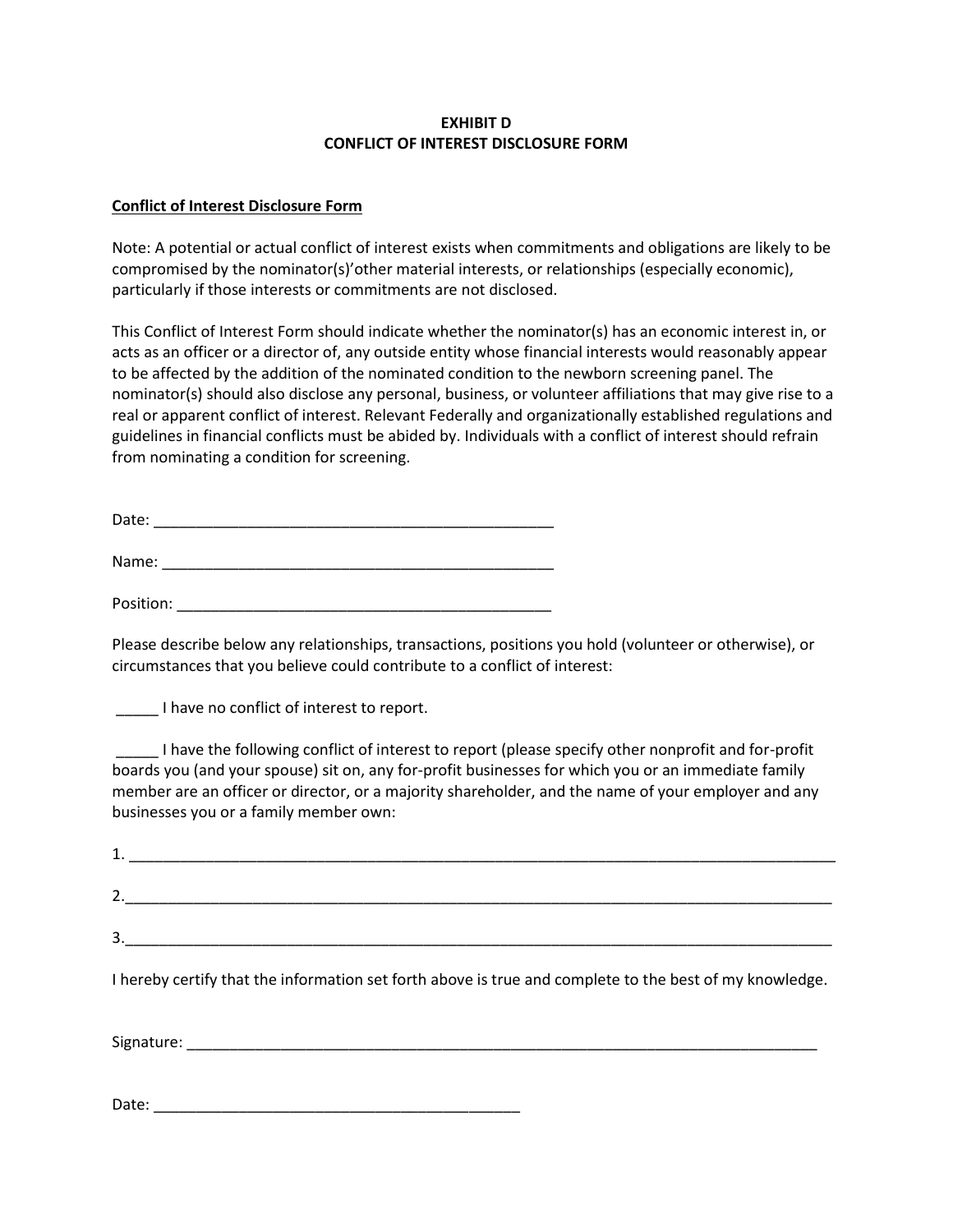#### **EXHIBIT D CONFLICT OF INTEREST DISCLOSURE FORM**

#### **Conflict of Interest Disclosure Form**

Note: A potential or actual conflict of interest exists when commitments and obligations are likely to be compromised by the nominator(s)'other material interests, or relationships (especially economic), particularly if those interests or commitments are not disclosed.

This Conflict of Interest Form should indicate whether the nominator(s) has an economic interest in, or acts as an officer or a director of, any outside entity whose financial interests would reasonably appear to be affected by the addition of the nominated condition to the newborn screening panel. The nominator(s) should also disclose any personal, business, or volunteer affiliations that may give rise to a real or apparent conflict of interest. Relevant Federally and organizationally established regulations and guidelines in financial conflicts must be abided by. Individuals with a conflict of interest should refrain from nominating a condition for screening.

Date:  $\Box$ 

Name: \_\_\_\_\_\_\_\_\_\_\_\_\_\_\_\_\_\_\_\_\_\_\_\_\_\_\_\_\_\_\_\_\_\_\_\_\_\_\_\_\_\_\_\_\_\_

Position: \_\_\_\_\_\_\_\_\_\_\_\_\_\_\_\_\_\_\_\_\_\_\_\_\_\_\_\_\_\_\_\_\_\_\_\_\_\_\_\_\_\_\_\_

Please describe below any relationships, transactions, positions you hold (volunteer or otherwise), or circumstances that you believe could contribute to a conflict of interest:

I have no conflict of interest to report.

\_\_\_\_\_ I have the following conflict of interest to report (please specify other nonprofit and for-profit boards you (and your spouse) sit on, any for-profit businesses for which you or an immediate family member are an officer or director, or a majority shareholder, and the name of your employer and any businesses you or a family member own:

1. \_\_\_\_\_\_\_\_\_\_\_\_\_\_\_\_\_\_\_\_\_\_\_\_\_\_\_\_\_\_\_\_\_\_\_\_\_\_\_\_\_\_\_\_\_\_\_\_\_\_\_\_\_\_\_\_\_\_\_\_\_\_\_\_\_\_\_\_\_\_\_\_\_\_\_\_\_\_\_\_\_\_\_ 2. 3.\_\_\_\_\_\_\_\_\_\_\_\_\_\_\_\_\_\_\_\_\_\_\_\_\_\_\_\_\_\_\_\_\_\_\_\_\_\_\_\_\_\_\_\_\_\_\_\_\_\_\_\_\_\_\_\_\_\_\_\_\_\_\_\_\_\_\_\_\_\_\_\_\_\_\_\_\_\_\_\_\_\_\_

I hereby certify that the information set forth above is true and complete to the best of my knowledge.

Signature: \_\_\_\_\_\_\_\_\_\_\_\_\_\_\_\_\_\_\_\_\_\_\_\_\_\_\_\_\_\_\_\_\_\_\_\_\_\_\_\_\_\_\_\_\_\_\_\_\_\_\_\_\_\_\_\_\_\_\_\_\_\_\_\_\_\_\_\_\_\_\_\_\_\_

Date: \_\_\_\_\_\_\_\_\_\_\_\_\_\_\_\_\_\_\_\_\_\_\_\_\_\_\_\_\_\_\_\_\_\_\_\_\_\_\_\_\_\_\_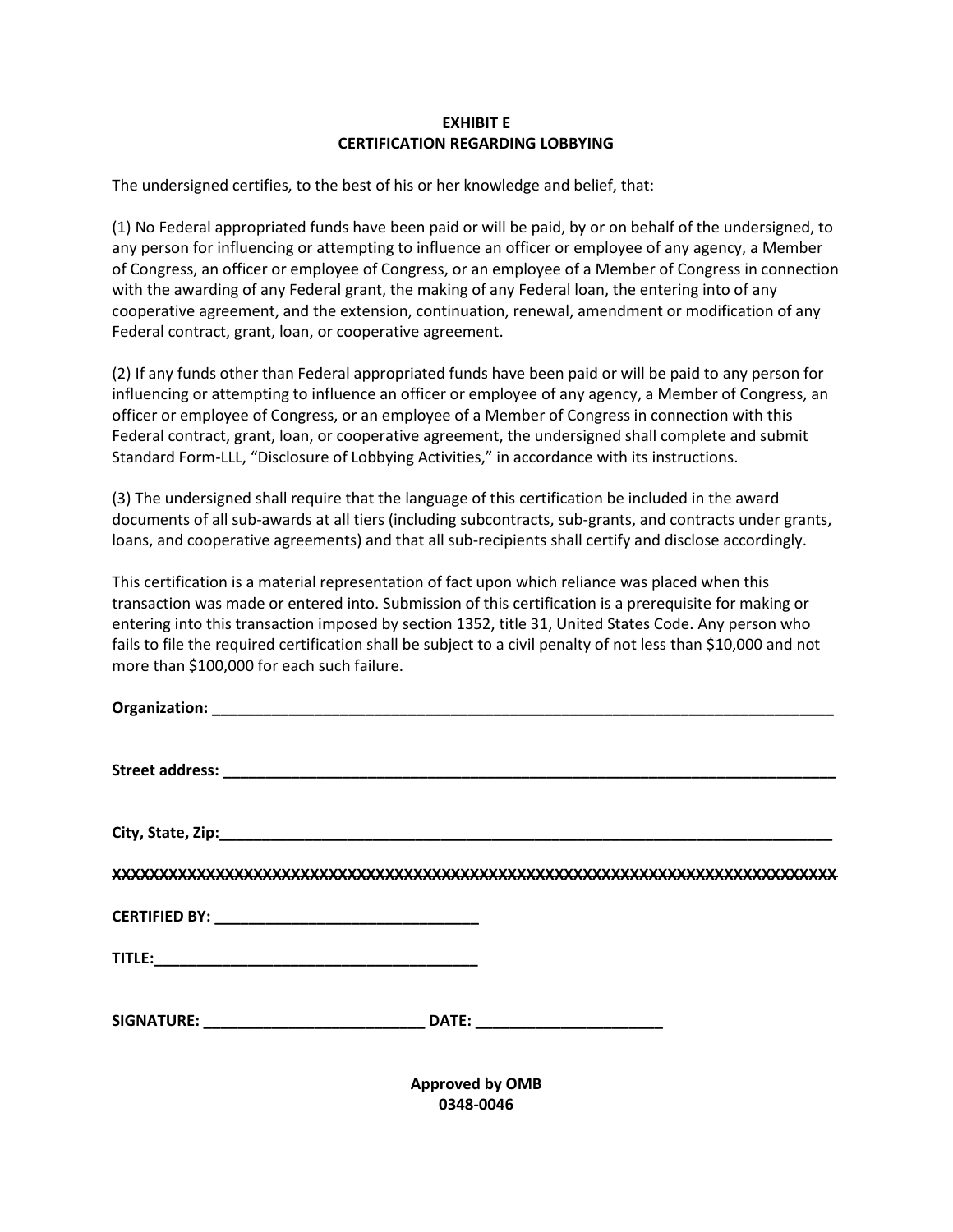#### **EXHIBIT E CERTIFICATION REGARDING LOBBYING**

The undersigned certifies, to the best of his or her knowledge and belief, that:

(1) No Federal appropriated funds have been paid or will be paid, by or on behalf of the undersigned, to any person for influencing or attempting to influence an officer or employee of any agency, a Member of Congress, an officer or employee of Congress, or an employee of a Member of Congress in connection with the awarding of any Federal grant, the making of any Federal loan, the entering into of any cooperative agreement, and the extension, continuation, renewal, amendment or modification of any Federal contract, grant, loan, or cooperative agreement.

(2) If any funds other than Federal appropriated funds have been paid or will be paid to any person for influencing or attempting to influence an officer or employee of any agency, a Member of Congress, an officer or employee of Congress, or an employee of a Member of Congress in connection with this Federal contract, grant, loan, or cooperative agreement, the undersigned shall complete and submit Standard Form-LLL, "Disclosure of Lobbying Activities," in accordance with its instructions.

(3) The undersigned shall require that the language of this certification be included in the award documents of all sub-awards at all tiers (including subcontracts, sub-grants, and contracts under grants, loans, and cooperative agreements) and that all sub-recipients shall certify and disclose accordingly.

This certification is a material representation of fact upon which reliance was placed when this transaction was made or entered into. Submission of this certification is a prerequisite for making or entering into this transaction imposed by section 1352, title 31, United States Code. Any person who fails to file the required certification shall be subject to a civil penalty of not less than \$10,000 and not more than \$100,000 for each such failure.

| DATE: __________________________ |  |
|----------------------------------|--|
|                                  |  |

**Approved by OMB 0348-0046**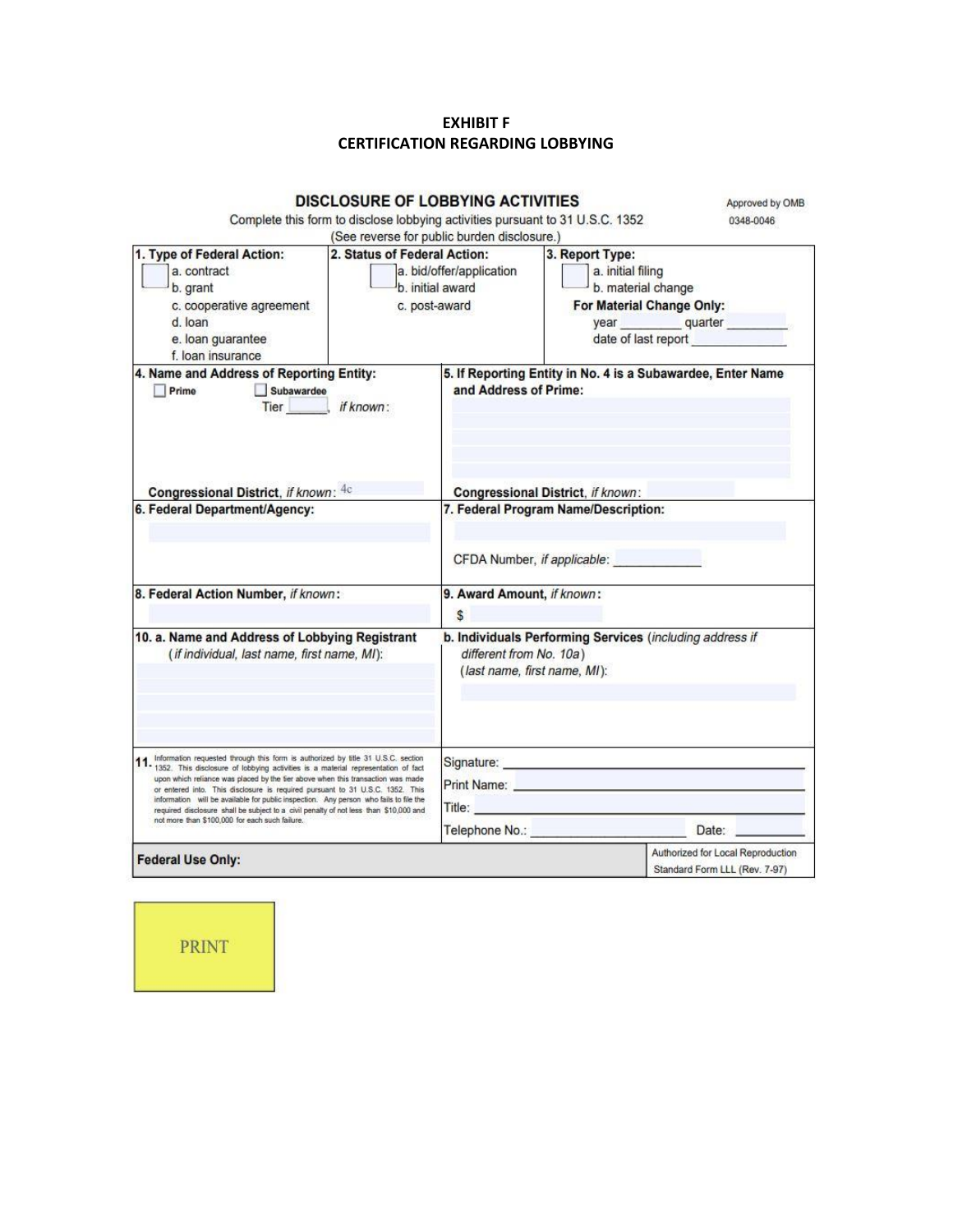# **EXHIBIT F CERTIFICATION REGARDING LOBBYING**

| <b>DISCLOSURE OF LOBBYING ACTIVITIES</b>                                                                                                                                                                                                                                                                                                                                                                                                                                                                                                                                      |                                              | Approved by OMB                                                                                                                                                                                                                                                                                                                                      |
|-------------------------------------------------------------------------------------------------------------------------------------------------------------------------------------------------------------------------------------------------------------------------------------------------------------------------------------------------------------------------------------------------------------------------------------------------------------------------------------------------------------------------------------------------------------------------------|----------------------------------------------|------------------------------------------------------------------------------------------------------------------------------------------------------------------------------------------------------------------------------------------------------------------------------------------------------------------------------------------------------|
| Complete this form to disclose lobbying activities pursuant to 31 U.S.C. 1352<br>(See reverse for public burden disclosure.)                                                                                                                                                                                                                                                                                                                                                                                                                                                  |                                              | 0348-0046                                                                                                                                                                                                                                                                                                                                            |
| 1. Type of Federal Action:<br>2. Status of Federal Action:<br>a. contract<br>b. grant<br>c. cooperative agreement<br>c. post-award<br>d. loan<br>e. loan guarantee<br>f. loan insurance                                                                                                                                                                                                                                                                                                                                                                                       | a. bid/offer/application<br>b. initial award | 3. Report Type:<br>a. initial filing<br>b. material change<br>For Material Change Only:<br>year <b>year year guarter guarter guarter guarter guarter guarter guarter guarter guarter guarter guarter guarter guarter guarter guarter guarter guarter guarter guarter guarter guarter guarter guarter guarter guarter guar</b><br>date of last report |
| 4. Name and Address of Reporting Entity:<br>Subawardee<br>H<br>Prime<br>Tier f <i>known</i> :<br>Congressional District, if known: 4c                                                                                                                                                                                                                                                                                                                                                                                                                                         | and Address of Prime:                        | 5. If Reporting Entity in No. 4 is a Subawardee, Enter Name<br>Congressional District, if known:                                                                                                                                                                                                                                                     |
| 6. Federal Department/Agency:                                                                                                                                                                                                                                                                                                                                                                                                                                                                                                                                                 |                                              | 7. Federal Program Name/Description:<br>CFDA Number, if applicable:                                                                                                                                                                                                                                                                                  |
| 8. Federal Action Number, if known:                                                                                                                                                                                                                                                                                                                                                                                                                                                                                                                                           | 9. Award Amount, if known:<br>\$             |                                                                                                                                                                                                                                                                                                                                                      |
| 10. a. Name and Address of Lobbying Registrant<br>(if individual, last name, first name, MI):                                                                                                                                                                                                                                                                                                                                                                                                                                                                                 | different from No. 10a)                      | b. Individuals Performing Services (including address if<br>(last name, first name, MI):                                                                                                                                                                                                                                                             |
| Information requested through this form is authorized by title 31 U.S.C. section<br>1352. This disclosure of lobbying activities is a material representation of fact<br>upon which reliance was placed by the fier above when this transaction was made<br>or entered into. This disclosure is required pursuant to 31 U.S.C. 1352. This<br>information will be available for public inspection. Any person who fails to file the<br>required disclosure shall be subject to a civil penalty of not less than \$10,000 and<br>not more than \$100,000 for each such failure. |                                              | Print Name: Name: New York Street, New York Street, New York Street, New York Street, New York Street, New York<br>Date: <b>Date:</b>                                                                                                                                                                                                                |
| <b>Federal Use Only:</b>                                                                                                                                                                                                                                                                                                                                                                                                                                                                                                                                                      |                                              | Authorized for Local Reproduction<br>Standard Form LLL (Rev. 7-97)                                                                                                                                                                                                                                                                                   |

PRINT